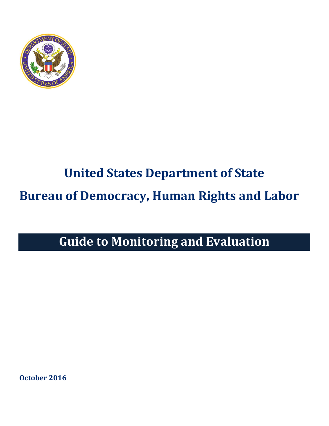

# **United States Department of State Bureau of Democracy, Human Rights and Labor**

## **Guide to Monitoring and Evaluation**

**October 2016**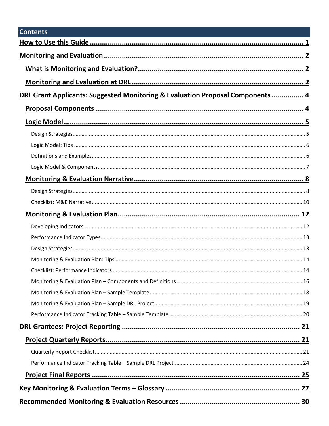| <b>Contents</b>                                                                           |  |
|-------------------------------------------------------------------------------------------|--|
|                                                                                           |  |
|                                                                                           |  |
|                                                                                           |  |
|                                                                                           |  |
| <b>DRL Grant Applicants: Suggested Monitoring &amp; Evaluation Proposal Components  4</b> |  |
|                                                                                           |  |
|                                                                                           |  |
|                                                                                           |  |
|                                                                                           |  |
|                                                                                           |  |
|                                                                                           |  |
|                                                                                           |  |
|                                                                                           |  |
|                                                                                           |  |
|                                                                                           |  |
|                                                                                           |  |
|                                                                                           |  |
|                                                                                           |  |
|                                                                                           |  |
| 14                                                                                        |  |
|                                                                                           |  |
|                                                                                           |  |
|                                                                                           |  |
|                                                                                           |  |
|                                                                                           |  |
|                                                                                           |  |
|                                                                                           |  |
|                                                                                           |  |
|                                                                                           |  |
|                                                                                           |  |
|                                                                                           |  |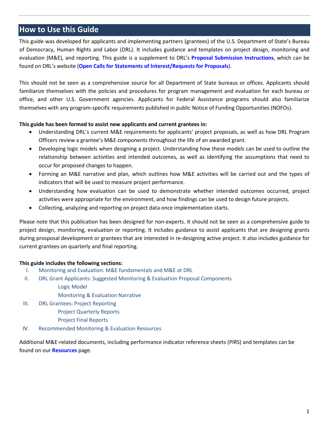## <span id="page-3-0"></span>**How to Use this Guide**

This guide was developed for applicants and implementing partners (grantees) of the U.S. Department of State's Bureau of Democracy, Human Rights and Labor (DRL). It includes guidance and templates on project design, monitoring and evaluation (M&E), and reporting. This guide is a supplement to DRL's **[Proposal Submission Instructions](http://www.state.gov/documents/organization/261186.pdf)**, which can be found on DRL's website (**[Open Calls for Statements of Interest/Requests for Proposals](http://www.state.gov/j/drl/p/c12302.htm)**).

This should not be seen as a comprehensive source for all Department of State bureaus or offices. Applicants should familiarize themselves with the policies and procedures for program management and evaluation for each bureau or office, and other U.S. Government agencies. Applicants for Federal Assistance programs should also familiarize themselves with any program-specific requirements published in public Notice of Funding Opportunities (NOFOs).

#### **This guide has been formed to assist new applicants and current grantees in:**

- Understanding DRL's current M&E requirements for applicants' project proposals, as well as how DRL Program Officers review a grantee's M&E components throughout the life of an awarded grant.
- Developing logic models when designing a project. Understanding how these models can be used to outline the relationship between activities and intended outcomes, as well as identifying the assumptions that need to occur for proposed changes to happen.
- Forming an M&E narrative and plan, which outlines how M&E activities will be carried out and the types of indicators that will be used to measure project performance.
- Understanding how evaluation can be used to demonstrate whether intended outcomes occurred, project activities were appropriate for the environment, and how findings can be used to design future projects.
- Collecting, analyzing and reporting on project data once implementation starts.

Please note that this publication has been designed for non-experts. It should not be seen as a comprehensive guide to project design, monitoring, evaluation or reporting. It includes guidance to assist applicants that are designing grants during prosposal development or grantees that are interested in re-designing active project. It also includes guidance for current grantees on quarterly and final reporting.

#### **This guide includes the following sections:**

- I. [Monitoring and Evaluation:](#page-4-0) M&E fundamentals and M&E at DRL
- II. [DRL Grant Applicants: Suggested Monitoring & Evaluation Proposal Components](#page-6-0)
	- [Logic Model](#page-7-0)
	- [Monitoring & Evaluation Narrative](#page-10-0)
- III. [DRL Grantees: Project Reporting](#page-23-0)
	- [Project Quarterly Reports](#page-23-1)
	- [Project Final Reports](#page-27-0)
- IV. [Recommended Monitoring & Evaluation Resources](#page-32-0)

Additional M&E-related documents, including performance indicator reference sheets (PIRS) and templates can be found on our **[Resources](http://www.state.gov/j/drl/p/c72333.htm)** page.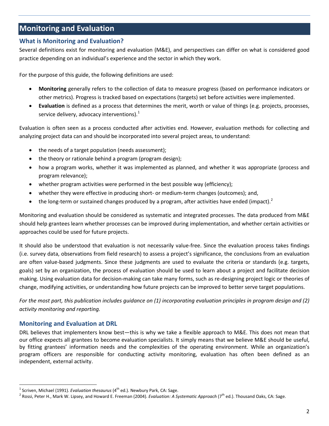## <span id="page-4-0"></span>**Monitoring and Evaluation**

#### <span id="page-4-1"></span>**What is Monitoring and Evaluation?**

Several definitions exist for monitoring and evaluation (M&E), and perspectives can differ on what is considered good practice depending on an individual's experience and the sector in which they work.

For the purpose of this guide, the following definitions are used:

- **Monitoring** generally refers to the collection of data to measure progress (based on performance indicators or other metrics). Progress is tracked based on expectations (targets) set before activities were implemented.
- **Evaluation** is defined as a process that determines the merit, worth or value of things (e.g. projects, processes, service delivery, advocacy interventions). $<sup>1</sup>$  $<sup>1</sup>$  $<sup>1</sup>$ </sup>

Evaluation is often seen as a process conducted after activities end. However, evaluation methods for collecting and analyzing project data can and should be incorporated into several project areas, to understand:

- the needs of a target population (needs assessment);
- the theory or rationale behind a program (program design);
- how a program works, whether it was implemented as planned, and whether it was appropriate (process and program relevance);
- whether program activities were performed in the best possible way (efficiency);
- whether they were effective in producing short- or medium-term changes (outcomes); and,
- the long-term or sustained changes produced by a program, after activities have ended (impact).<sup>[2](#page-4-4)</sup>

Monitoring and evaluation should be considered as systematic and integrated processes. The data produced from M&E should help grantees learn whether processes can be improved during implementation, and whether certain activities or approaches could be used for future projects.

It should also be understood that evaluation is not necessarily value-free. Since the evaluation process takes findings (i.e. survey data, observations from field research) to assess a project's significance, the conclusions from an evaluation are often value-based judgments. Since these judgments are used to evaluate the criteria or standards (e.g. targets, goals) set by an organization, the process of evaluation should be used to learn about a project and facilitate decision making. Using evaluation data for decision-making can take many forms, such as re-designing project logic or theories of change, modifying activities, or understanding how future projects can be improved to better serve target populations.

*For the most part, this publication includes guidance on (1) incorporating evaluation principles in program design and (2) activity monitoring and reporting.*

#### <span id="page-4-2"></span>**Monitoring and Evaluation at DRL**

DRL believes that implementers know best—this is why we take a flexible approach to M&E. This does not mean that our office expects all grantees to become evaluation specialists. It simply means that we believe M&E should be useful, by fitting grantees' information needs and the complexities of the operating environment. While an organization's program officers are responsible for conducting activity monitoring, evaluation has often been defined as an independent, external activity.

<span id="page-4-4"></span><span id="page-4-3"></span><sup>&</sup>lt;sup>1</sup> Scriven, Michael (1991). *Evaluation thesaurus* (4<sup>th</sup> ed.). Newbury Park, CA: Sage.<br><sup>2</sup> Rossi, Peter H., Mark W. Lipsey, and Howard E. Freeman (2004). *Evaluation: A Systematic Approach* (7<sup>th</sup> ed.). Thousand Oaks, CA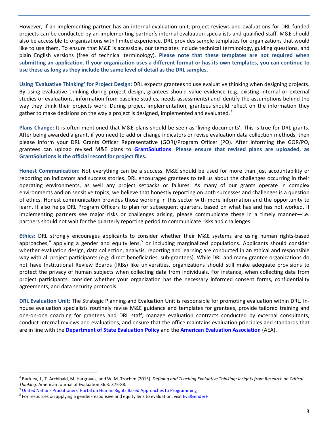However, if an implementing partner has an internal evaluation unit, project reviews and evaluations for DRL-funded projects can be conducted by an implementing partner's internal evaluation specialists and qualified staff. M&E should also be accessible to organizations with limited experience. DRL provides sample templates for organizations that would like to use them. To ensure that M&E is accessible, our templates include technical terminology, guiding questions, and plain English versions (free of technical terminology). **Please note that these templates are not required when submitting an application. If your organization uses a different format or has its own templates, you can continue to use these as long as they include the same level of detail as the DRL samples.**

**Using 'Evaluative Thinking' for Project Design:** DRL expects grantees to use evaluative thinking when designing projects. By using evaluative thinking during project design, grantees should value evidence (e.g. existing internal or external studies or evaluations, information from baseline studies, needs assessments) and identify the assumptions behind the way they think their projects work. During project implementation, grantees should reflect on the information they gather to make decisions on the way a project is designed, implemented and evaluated.<sup>[3](#page-5-0)</sup>

**Plans Change:** It is often mentioned that M&E plans should be seen as 'living documents'. This is true for DRL grants. After being awarded a grant, if you need to add or change indicators or revise evaluation data collection methods, then please inform your DRL Grants Officer Representative (GOR)/Program Officer (PO). After informing the GOR/PO, grantees can upload revised M&E plans to **[GrantSolutions](https://home.grantsolutions.gov/home/)**. **Please ensure that revised plans are uploaded, as GrantSolutions is the official record for project files.**

**Honest Communication:** Not everything can be a success. M&E should be used for more than just accountability or reporting on indicators and success stories. DRL encourages grantees to tell us about the challenges occurring in their operating environments, as well any project setbacks or failures. As many of our grants operate in complex environments and on sensitive topics, we believe that honestly reporting on both successes and challenges is a question of ethics. Honest communication provides those working in this sector with more information and the opportunity to learn. It also helps DRL Program Officers to plan for subsequent quarters, based on what has and has not worked. If implementing partners see major risks or challenges arising, please communicate these in a timely manner—i.e. partners should not wait for the quarterly reporting period to communicate risks and challenges.

**Ethics:** DRL strongly encourages applicants to consider whether their M&E systems are using human rights-based approaches,<sup>[4](#page-5-1)</sup> applying a gender and equity lens,<sup>[5](#page-5-2)</sup> or including marginalized populations. Applicants should consider whether evaluation design, data collection, analysis, reporting and learning are conducted in an ethical and responsible way with all project participants (e.g. direct beneficiaries, sub-grantees). While DRL and many grantee organizations do not have Institutional Review Boards (IRBs) like universities, organizations should still make adequate provisions to protect the privacy of human subjects when collecting data from individuals. For instance, when collecting data from project participants, consider whether your organization has the necessary informed consent forms, confidentiality agreements, and data security protocols.

**DRL Evaluation Unit:** The Strategic Planning and Evaluation Unit is responsible for promoting evaluation within DRL. Inhouse evaluation specialists routinely revise M&E guidance and templates for grantees, provide tailored training and one-on-one coaching for grantees and DRL staff, manage evaluation contracts conducted by external consultants, conduct internal reviews and evaluations, and ensure that the office maintains evaluation principles and standards that are in line with the **[Department of State Evaluation Policy](http://www.state.gov/s/d/rm/rls/evaluation/2015/236970.htm)** and the **[American Evaluation Association](http://www.eval.org/)** (AEA).

<span id="page-5-0"></span> <sup>3</sup> Buckley, J., T. Archibald, M. Hargraves, and W. M. Trochim (2015). *Defining and Teaching Evaluative Thinking: Insights from Research on Critical*  Thinking. American Journal of Evaluation 36.3: 375-88.<br><sup>4</sup> <u>[United Nations Practitioners' Portal on Human Rights Based Approaches to Programming](http://hrbaportal.org/the-human-rights-based-approach-to-development-cooperation-towards-a-common-understanding-among-un-agencies)<br><sup>5</sup> For resources on applying a gender-responsive and equity lens to evaluati</u>

<span id="page-5-1"></span>

<span id="page-5-2"></span>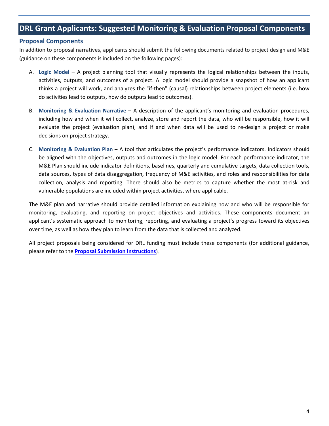## <span id="page-6-0"></span>**DRL Grant Applicants: Suggested Monitoring & Evaluation Proposal Components**

#### <span id="page-6-1"></span>**Proposal Components**

In addition to proposal narratives, applicants should submit the following documents related to project design and M&E (guidance on these components is included on the following pages):

- A. **Logic Model** A project planning tool that visually represents the logical relationships between the inputs, activities, outputs, and outcomes of a project. A logic model should provide a snapshot of how an applicant thinks a project will work, and analyzes the "if-then" (causal) relationships between project elements (i.e. how do activities lead to outputs, how do outputs lead to outcomes).
- B. **Monitoring & Evaluation Narrative** A description of the applicant's monitoring and evaluation procedures, including how and when it will collect, analyze, store and report the data, who will be responsible, how it will evaluate the project (evaluation plan), and if and when data will be used to re-design a project or make decisions on project strategy.
- C. **Monitoring & Evaluation Plan** A tool that articulates the project's performance indicators. Indicators should be aligned with the objectives, outputs and outcomes in the logic model. For each performance indicator, the M&E Plan should include indicator definitions, baselines, quarterly and cumulative targets, data collection tools, data sources, types of data disaggregation, frequency of M&E activities, and roles and responsibilities for data collection, analysis and reporting. There should also be metrics to capture whether the most at-risk and vulnerable populations are included within project activities, where applicable.

The M&E plan and narrative should provide detailed information explaining how and who will be responsible for monitoring, evaluating, and reporting on project objectives and activities. These components document an applicant's systematic approach to monitoring, reporting, and evaluating a project's progress toward its objectives over time, as well as how they plan to learn from the data that is collected and analyzed.

All project proposals being considered for DRL funding must include these components (for additional guidance, please refer to the **[Proposal Submission Instructions](http://www.state.gov/documents/organization/261186.pdf)**).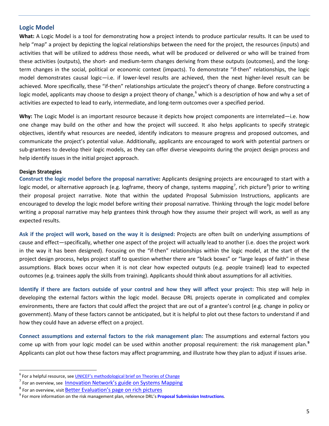#### <span id="page-7-0"></span>**Logic Model**

**What:** A Logic Model is a tool for demonstrating how a project intends to produce particular results. It can be used to help "map" a project by depicting the logical relationships between the need for the project, the resources (inputs) and activities that will be utilized to address those needs, what will be produced or delivered or who will be trained from these activities (outputs), the short- and medium-term changes deriving from these outputs (outcomes), and the longterm changes in the social, political or economic context (impacts). To demonstrate "if-then" relationships, the logic model demonstrates causal logic—i.e. if lower-level results are achieved, then the next higher-level result can be achieved. More specifically, these "if-then" relationships articulate the project's theory of change. Before constructing a logic model, applicants may choose to design a project theory of change, <sup>[6](#page-7-2)</sup> which is a description of how and why a set of activities are expected to lead to early, intermediate, and long-term outcomes over a specified period.

**Why:** The Logic Model is an important resource because it depicts how project components are interrelated—i.e. how one change may build on the other and how the project will succeed. It also helps applicants to specify strategic objectives, identify what resources are needed, identify indicators to measure progress and proposed outcomes, and communicate the project's potential value. Additionally, applicants are encouraged to work with potential partners or sub-grantees to develop their logic models, as they can offer diverse viewpoints during the project design process and help identify issues in the initial project approach.

#### <span id="page-7-1"></span>**Design Strategies**

**Construct the logic model before the proposal narrative:** Applicants designing projects are encouraged to start with a logic model, or alternative approach (e.g. logframe, theory of change, systems mapping<sup>[7](#page-7-3)</sup>, rich picture<sup>[8](#page-7-4)</sup>) prior to writing their proposal project narrative. Note that within the updated Proposal Submission Instructions, applicants are encouraged to develop the logic model before writing their proposal narrative. Thinking through the logic model before writing a proposal narrative may help grantees think through how they assume their project will work, as well as any expected results.

**Ask if the project will work, based on the way it is designed:** Projects are often built on underlying assumptions of cause and effect—specifically, whether one aspect of the project will actually lead to another (i.e. does the project work in the way it has been designed). Focusing on the "if-then" relationships within the logic model, at the start of the project design process, helps project staff to question whether there are "black boxes" or "large leaps of faith" in these assumptions. Black boxes occur when it is not clear how expected outputs (e.g. people trained) lead to expected outcomes (e.g. trainees apply the skills from training). Applicants should think about assumptions for all activities.

**Identify if there are factors outside of your control and how they will affect your project:** This step will help in developing the external factors within the logic model. Because DRL projects operate in complicated and complex environments, there are factors that could affect the project that are out of a grantee's control (e.g. change in policy or government). Many of these factors cannot be anticipated, but it is helpful to plot out these factors to understand if and how they could have an adverse effect on a project.

**Connect assumptions and external factors to the risk management plan:** The assumptions and external factors you come up with from your logic model can be used within another proposal requirement: the risk management plan. **[9](#page-7-5)** Applicants can plot out how these factors may affect programming, and illustrate how they plan to adjust if issues arise.

<span id="page-7-2"></span><sup>&</sup>lt;sup>6</sup> For a helpful resource, see *[UNICEF's methodological brief on Theories of Change](http://devinfolive.info/impact_evaluation/img/downloads/Theory_of_Change_ENG.pdf)* 

<span id="page-7-3"></span><sup>&</sup>lt;sup>7</sup> For an overview, see [Innovation Network's guide on Systems Mapping](http://www.pointk.org/client_docs/File/advocacy/CARE_systems_map.pdf)

<span id="page-7-5"></span><span id="page-7-4"></span>

<sup>&</sup>lt;sup>8</sup> For an overview, visit **Better Evaluation's page on rich pictures**<br><sup>9</sup> For more information on the risk management plan, reference DRL's **[Proposal Submission Instructions](http://www.state.gov/documents/organization/261186.pdf)**.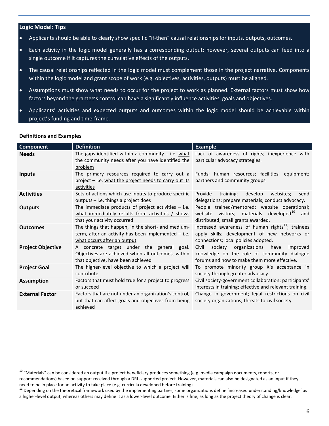#### <span id="page-8-0"></span>**Logic Model: Tips**

- Applicants should be able to clearly show specific "if-then" causal relationships for inputs, outputs, outcomes.
- Each activity in the logic model generally has a corresponding output; however, several outputs can feed into a single outcome if it captures the cumulative effects of the outputs.
- The causal relationships reflected in the logic model must complement those in the project narrative. Components within the logic model and grant scope of work (e.g. objectives, activities, outputs) must be aligned.
- Assumptions must show what needs to occur for the project to work as planned. External factors must show how factors beyond the grantee's control can have a significantly influence activities, goals and objectives.
- Applicants' activities and expected outputs and outcomes within the logic model should be achievable within project's funding and time-frame.

| <b>Component</b>         | <b>Definition</b>                                                                                                                         | <b>Example</b>                                                                                                                                       |
|--------------------------|-------------------------------------------------------------------------------------------------------------------------------------------|------------------------------------------------------------------------------------------------------------------------------------------------------|
| <b>Needs</b>             | The gaps identified within a community $-$ i.e. what<br>the community needs after you have identified the<br>problem                      | Lack of awareness of rights; inexperience with<br>particular advocacy strategies.                                                                    |
| <b>Inputs</b>            | The primary resources required to carry out a<br>project - i.e. what the project needs to carry out its<br>activities                     | Funds; human resources; facilities; equipment;<br>partners and community groups.                                                                     |
| <b>Activities</b>        | Sets of actions which use inputs to produce specific<br>outputs - i.e. things a project does                                              | websites:<br>Provide<br>training;<br>develop<br>send<br>delegations; prepare materials; conduct advocacy.                                            |
| <b>Outputs</b>           | The immediate products of project activities $-$ i.e.<br>what immediately results from activities / shows<br>that your activity occurred  | People trained/mentored; website operational;<br>website visitors; materials developed <sup>10</sup><br>and<br>distributed; small grants awarded.    |
| <b>Outcomes</b>          | The things that happen, in the short- and medium-<br>term, after an activity has been implemented $-$ i.e.<br>what occurs after an output | Increased awareness of human rights <sup>11</sup> ; trainees<br>apply skills; development of new networks or<br>connections; local policies adopted. |
| <b>Project Objective</b> | A concrete target under the general goal.<br>Objectives are achieved when all outcomes, within<br>that objective, have been achieved      | Civil<br>society organizations have<br>improved<br>knowledge on the role of community dialogue<br>forums and how to make them more effective.        |
| <b>Project Goal</b>      | The higher-level objective to which a project will<br>contribute                                                                          | To promote minority group X's acceptance in<br>society through greater advocacy.                                                                     |
| <b>Assumption</b>        | Factors that must hold true for a project to progress<br>or succeed                                                                       | Civil society-government collaboration; participants'<br>interests in training; effective and relevant training.                                     |
| <b>External Factor</b>   | Factors that are not under an organization's control,<br>but that can affect goals and objectives from being<br>achieved                  | Change in government; legal restrictions on civil<br>society organizations; threats to civil society                                                 |

#### <span id="page-8-1"></span>**Definitions and Examples**

l

<span id="page-8-2"></span><sup>&</sup>lt;sup>10</sup> "Materials" can be considered an output if a project beneficiary produces something (e.g. media campaign documents, reports, or

recommendations) based on support received through a DRL-supported project. However, materials can also be designated as an input if they need to be in place for an activity to take place (e.g. curricula developed before training).

<span id="page-8-3"></span><sup>&</sup>lt;sup>11</sup> Depending on the theoretical framework used by the implementing partner, some organizations define 'increased understanding/knowledge' as a higher-level output, whereas others may define it as a lower-level outcome. Either is fine, as long as the project theory of change is clear.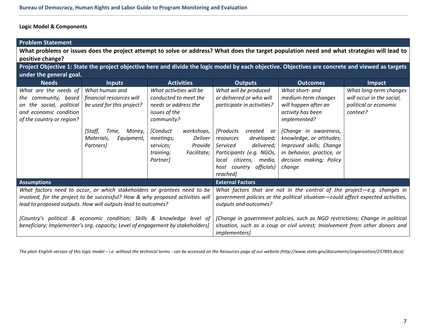#### **Logic Model & Components**

<span id="page-9-0"></span>

| <b>Problem Statement</b>                                                                                                                                        |                                                                                                                                                                                                                            |                                                                                                                                                                                                                                  |                                                                                                                                                                                                                                                                           |                                                                                                                                                                                                                                                       |                                                                                          |  |  |  |  |  |
|-----------------------------------------------------------------------------------------------------------------------------------------------------------------|----------------------------------------------------------------------------------------------------------------------------------------------------------------------------------------------------------------------------|----------------------------------------------------------------------------------------------------------------------------------------------------------------------------------------------------------------------------------|---------------------------------------------------------------------------------------------------------------------------------------------------------------------------------------------------------------------------------------------------------------------------|-------------------------------------------------------------------------------------------------------------------------------------------------------------------------------------------------------------------------------------------------------|------------------------------------------------------------------------------------------|--|--|--|--|--|
| What problems or issues does the project attempt to solve or address? What does the target population need and what strategies will lead to<br>positive change? |                                                                                                                                                                                                                            |                                                                                                                                                                                                                                  |                                                                                                                                                                                                                                                                           |                                                                                                                                                                                                                                                       |                                                                                          |  |  |  |  |  |
| Project Objective 1: State the project objective here and divide the logic model by each objective. Objectives are concrete and viewed as targets               |                                                                                                                                                                                                                            |                                                                                                                                                                                                                                  |                                                                                                                                                                                                                                                                           |                                                                                                                                                                                                                                                       |                                                                                          |  |  |  |  |  |
| under the general goal.                                                                                                                                         |                                                                                                                                                                                                                            |                                                                                                                                                                                                                                  |                                                                                                                                                                                                                                                                           |                                                                                                                                                                                                                                                       |                                                                                          |  |  |  |  |  |
| <b>Needs</b>                                                                                                                                                    | <b>Inputs</b>                                                                                                                                                                                                              | <b>Activities</b>                                                                                                                                                                                                                | <b>Outputs</b>                                                                                                                                                                                                                                                            | <b>Outcomes</b>                                                                                                                                                                                                                                       | Impact                                                                                   |  |  |  |  |  |
| What are the needs of<br>community, based<br>the<br>on the social, political<br>and economic condition<br>of the country or region?                             | What human and<br>financial resources will<br>be used for this project?<br>[Staff,<br>Money,<br>Time,<br>Materials,<br>Equipment,<br>Partners]                                                                             | What activities will be<br>conducted to meet the<br>needs or address the<br>issues of the<br>community?<br>[Conduct<br>workshops,<br><b>Deliver</b><br>meetings;<br>Provide<br>services;<br>Facilitate;<br>training;<br>Partner] | What will be produced<br>or delivered or who will<br>participate in activities?<br><i>[Products</i><br>created or<br>developed;<br>resources<br>delivered;<br>Serviced<br>Participants (e.g. NGOs,<br>local<br>citizens, media,<br>officials)<br>host country<br>reached] | What short- and<br>medium-term changes<br>will happen after an<br>activity has been<br>implemented?<br>[Change in awareness,<br>knowledge, or attitudes;<br>Improved skills; Change<br>in behavior, practice, or<br>decision making; Policy<br>change | What long-term changes<br>will occur in the social,<br>political or economic<br>context? |  |  |  |  |  |
| <b>Assumptions</b>                                                                                                                                              |                                                                                                                                                                                                                            |                                                                                                                                                                                                                                  | <b>External Factors</b>                                                                                                                                                                                                                                                   |                                                                                                                                                                                                                                                       |                                                                                          |  |  |  |  |  |
|                                                                                                                                                                 | What factors need to occur, or which stakeholders or grantees need to be<br>involved, for the project to be successful? How & why proposed activities will<br>lead to proposed outputs. How will outputs lead to outcomes? | [Country's political & economic condition; Skills & knowledge level of                                                                                                                                                           | What factors that are not in the control of the project-e.g. changes in<br>government policies or the political situation-could affect expected activities,<br>outputs and outcomes?<br>[Change in government policies, such as NGO restrictions; Change in political     |                                                                                                                                                                                                                                                       |                                                                                          |  |  |  |  |  |
|                                                                                                                                                                 | beneficiary; Implementer's org. capacity; Level of engagement by stakeholders]                                                                                                                                             |                                                                                                                                                                                                                                  | situation, such as a coup or civil unrest; Involvement from other donors and<br><i>implementers]</i>                                                                                                                                                                      |                                                                                                                                                                                                                                                       |                                                                                          |  |  |  |  |  |

The plain English version of this logic model - i.e. without the technical terms - can be accessed on the Resources page of our website (http://www.state.gov/documents/organization/257893.docx)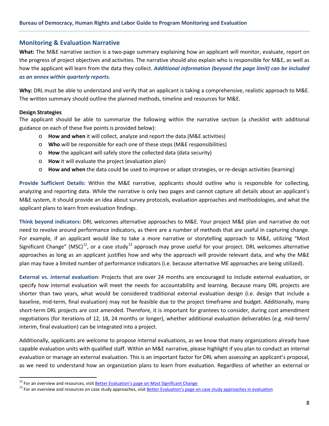#### <span id="page-10-0"></span>**Monitoring & Evaluation Narrative**

**What:** The M&E narrative section is a two-page summary explaining how an applicant will monitor, evaluate, report on the progress of project objectives and activities. The narrative should also explain who is responsible for M&E, as well as how the applicant will learn from the data they collect. *Additional information (beyond the page limit) can be included as an annex within quarterly reports.*

**Why:** DRL must be able to understand and verify that an applicant is taking a comprehensive, realistic approach to M&E. The written summary should outline the planned methods, timeline and resources for M&E.

#### <span id="page-10-1"></span>**Design Strategies**

The applicant should be able to summarize the following within the narrative section (a checklist with additional guidance on each of these five points is provided below):

- o **How and when** it will collect, analyze and report the data (M&E activities)
- o **Who** will be responsible for each one of these steps (M&E responsibilities)
- o **How** the applicant will safely store the collected data (data security)
- o **How** it will evaluate the project (evaluation plan)
- o **How and when** the data could be used to improve or adapt strategies, or re-design activities (learning)

**Provide Sufficient Details:** Within the M&E narrative, applicants should outline who is responsible for collecting, analyzing and reporting data. While the narrative is only two pages and cannot capture all details about an applicant's M&E system, it should provide an idea about survey protocols, evaluation approaches and methodologies, and what the applicant plans to learn from evaluation findings.

**Think beyond indicators:** DRL welcomes alternative approaches to M&E. Your project M&E plan and narrative do not need to revolve around performance indicators, as there are a number of methods that are useful in capturing change. For example, if an applicant would like to take a more narrative or storytelling approach to M&E, utilizing "Most Significant Change" (MSC)<sup>[12](#page-10-2)</sup>, or a case study<sup>[13](#page-10-3)</sup> approach may prove useful for your project. DRL welcomes alternative approaches as long as an applicant justifies how and why the approach will provide relevant data, and why the M&E plan may have a limited number of performance indicators (i.e. because alternative ME approaches are being utilized).

**External vs. internal evaluation:** Projects that are over 24 months are encouraged to include external evaluation, or specify how internal evaluation will meet the needs for accountability and learning. Because many DRL projects are shorter than two years, what would be considered traditional external evaluation design (i.e. design that include a baseline, mid-term, final evaluation) may not be feasible due to the project timeframe and budget. Additionally, many short-term DRL projects are cost amended. Therefore, it is important for grantees to consider, during cost amendment negotiations (for iterations of 12, 18, 24 months or longer), whether additional evaluation deliverables (e.g. mid-term/ interim, final evaluation) can be integrated into a project.

Additionally, applicants are welcome to propose internal evaluations, as we know that many organizations already have capable evaluation units with qualified staff. Within an M&E narrative, please highlight if you plan to conduct an internal evaluation or manage an external evaluation. This is an important factor for DRL when assessing an applicant's proposal, as we need to understand how an organization plans to learn from evaluation. Regardless of whether an external or

<span id="page-10-3"></span>

<span id="page-10-2"></span><sup>&</sup>lt;sup>12</sup> For an overview and resources, visit <u>Better Evaluation's page on Most Significant Change</u><br><sup>13</sup> For an overview and resources on case study approaches, visit <u>Better Evaluation's page on case study approaches in evalu</u>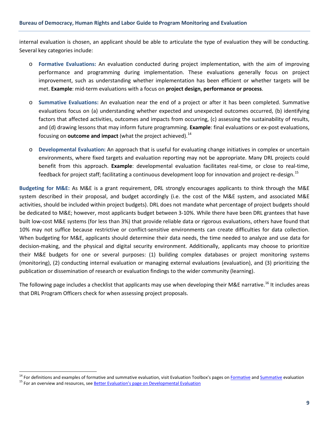internal evaluation is chosen, an applicant should be able to articulate the type of evaluation they will be conducting. Several key categories include:

- o **Formative Evaluations:** An evaluation conducted during project implementation, with the aim of improving performance and programming during implementation. These evaluations generally focus on project improvement, such as understanding whether implementation has been efficient or whether targets will be met. **Example**: mid-term evaluations with a focus on **project design, performance or process**.
- o **Summative Evaluations:** An evaluation near the end of a project or after it has been completed. Summative evaluations focus on (a) understanding whether expected and unexpected outcomes occurred, (b) identifying factors that affected activities, outcomes and impacts from occurring, (c) assessing the sustainability of results, and (d) drawing lessons that may inform future programming. **Example**: final evaluations or ex-post evaluations, focusing on **outcome and impact** (what the project achieved). [14](#page-11-0)
- o **Developmental Evaluation:** An approach that is useful for evaluating change initiatives in complex or uncertain environments, where fixed targets and evaluation reporting may not be appropriate. Many DRL projects could benefit from this approach. **Example**: developmental evaluation facilitates real-time, or close to real-time, feedback for project staff; facilitating a continuous development loop for innovation and project re-design.<sup>[15](#page-11-1)</sup>

**Budgeting for M&E:** As M&E is a grant requirement, DRL strongly encourages applicants to think through the M&E system described in their proposal, and budget accordingly (i.e. the cost of the M&E system, and associated M&E activities, should be included within project budgets). DRL does not mandate what percentage of project budgets should be dedicated to M&E; however, most applicants budget between 3-10%. While there have been DRL grantees that have built low-cost M&E systems (for less than 3%) that provide reliable data or rigorous evaluations, others have found that 10% may not suffice because restrictive or conflict-sensitive environments can create difficulties for data collection. When budgeting for M&E, applicants should determine their data needs, the time needed to analyze and use data for decision-making, and the physical and digital security environment. Additionally, applicants may choose to prioritize their M&E budgets for one or several purposes: (1) building complex databases or project monitoring systems (monitoring), (2) conducting internal evaluation or managing external evaluations (evaluation), and (3) prioritizing the publication or dissemination of research or evaluation findings to the wider community (learning).

The following page includes a checklist that applicants may use when developing their M&E narrative.<sup>[16](#page-11-2)</sup> It includes areas that DRL Program Officers check for when assessing project proposals.

<span id="page-11-2"></span><span id="page-11-1"></span><span id="page-11-0"></span><sup>&</sup>lt;sup>14</sup> For definitions and examples of formative and summative evaluation, visit Evaluation Toolbox's pages on **Formative** and **[Summative](http://evaluationtoolbox.net.au/index.php?option=com_content&view=article&id=40&Itemid=126)** evaluation  $^{15}$  For an overview and resources, see Better Evaluation's page on Dev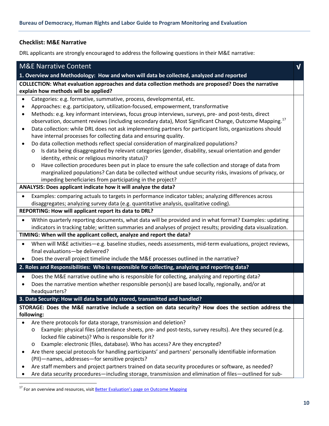#### <span id="page-12-0"></span>**Checklist: M&E Narrative**

DRL applicants are strongly encouraged to address the following questions in their M&E narrative:

| 1. Overview and Methodology: How and when will data be collected, analyzed and reported<br>COLLECTION: What evaluation approaches and data collection methods are proposed? Does the narrative<br>explain how methods will be applied?                       |
|--------------------------------------------------------------------------------------------------------------------------------------------------------------------------------------------------------------------------------------------------------------|
|                                                                                                                                                                                                                                                              |
|                                                                                                                                                                                                                                                              |
| Categories: e.g. formative, summative, process, developmental, etc.<br>$\bullet$                                                                                                                                                                             |
| Approaches: e.g. participatory, utilization-focused, empowerment, transformative<br>$\bullet$                                                                                                                                                                |
| Methods: e.g. key informant interviews, focus group interviews, surveys, pre- and post-tests, direct<br>$\bullet$<br>observation, document reviews (including secondary data), Most Significant Change, Outcome Mapping. <sup>17</sup>                       |
| Data collection: while DRL does not ask implementing partners for participant lists, organizations should<br>$\bullet$                                                                                                                                       |
| have internal processes for collecting data and ensuring quality.                                                                                                                                                                                            |
| Do data collection methods reflect special consideration of marginalized populations?<br>Is data being disaggregated by relevant categories (gender, disability, sexual orientation and gender<br>$\circ$<br>identity, ethnic or religious minority status)? |
| Have collection procedures been put in place to ensure the safe collection and storage of data from<br>$\circ$                                                                                                                                               |
| marginalized populations? Can data be collected without undue security risks, invasions of privacy, or                                                                                                                                                       |
| impeding beneficiaries from participating in the project?                                                                                                                                                                                                    |
| ANALYSIS: Does applicant indicate how it will analyze the data?                                                                                                                                                                                              |
| Examples: comparing actuals to targets in performance indicator tables; analyzing differences across<br>$\bullet$                                                                                                                                            |
| disaggregates; analyzing survey data (e.g. quantitative analysis, qualitative coding).                                                                                                                                                                       |
| REPORTING: How will applicant report its data to DRL?                                                                                                                                                                                                        |
| Within quarterly reporting documents, what data will be provided and in what format? Examples: updating<br>$\bullet$<br>indicators in tracking table; written summaries and analyses of project results; providing data visualization.                       |
| TIMING: When will the applicant collect, analyze and report the data?                                                                                                                                                                                        |
| When will M&E activities-e.g. baseline studies, needs assessments, mid-term evaluations, project reviews,<br>$\bullet$                                                                                                                                       |
| final evaluations-be delivered?                                                                                                                                                                                                                              |
| Does the overall project timeline include the M&E processes outlined in the narrative?                                                                                                                                                                       |
| 2. Roles and Responsibilities: Who is responsible for collecting, analyzing and reporting data?                                                                                                                                                              |
| Does the M&E narrative outline who is responsible for collecting, analyzing and reporting data?<br>$\bullet$                                                                                                                                                 |
| Does the narrative mention whether responsible person(s) are based locally, regionally, and/or at<br>$\bullet$                                                                                                                                               |
| headquarters?                                                                                                                                                                                                                                                |
| 3. Data Security: How will data be safely stored, transmitted and handled?                                                                                                                                                                                   |
| STORAGE: Does the M&E narrative include a section on data security? How does the section address the                                                                                                                                                         |
| following:                                                                                                                                                                                                                                                   |
| Are there protocols for data storage, transmission and deletion?                                                                                                                                                                                             |
| Example: physical files (attendance sheets, pre- and post-tests, survey results). Are they secured (e.g.<br>O                                                                                                                                                |
| locked file cabinets)? Who is responsible for it?                                                                                                                                                                                                            |
| Example: electronic (files, database). Who has access? Are they encrypted?<br>$\circ$                                                                                                                                                                        |
| Are there special protocols for handling participants' and partners' personally identifiable information<br>٠                                                                                                                                                |
| (PII)-names, addresses-for sensitive projects?                                                                                                                                                                                                               |
| Are staff members and project partners trained on data security procedures or software, as needed?<br>Are data security procedures—including storage, transmission and elimination of files—outlined for sub-<br>٠                                           |

<span id="page-12-1"></span> $17$  For an overview and resources, visit **Better Evaluation's page on Outcome Mapping**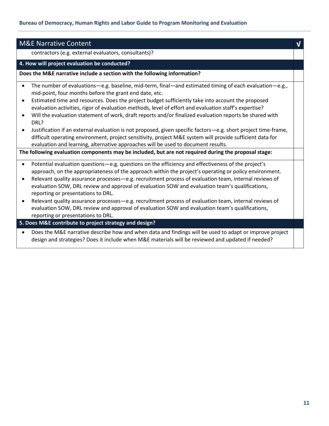| <b>M&amp;E Narrative Content</b>                                                                                                                                                                                                                                                                                                                                                                                                                                                                                                                                                                                                                                                                                                                                                                                                                             |  |
|--------------------------------------------------------------------------------------------------------------------------------------------------------------------------------------------------------------------------------------------------------------------------------------------------------------------------------------------------------------------------------------------------------------------------------------------------------------------------------------------------------------------------------------------------------------------------------------------------------------------------------------------------------------------------------------------------------------------------------------------------------------------------------------------------------------------------------------------------------------|--|
| contractors (e.g. external evaluators, consultants)?                                                                                                                                                                                                                                                                                                                                                                                                                                                                                                                                                                                                                                                                                                                                                                                                         |  |
| 4. How will project evaluation be conducted?                                                                                                                                                                                                                                                                                                                                                                                                                                                                                                                                                                                                                                                                                                                                                                                                                 |  |
| Does the M&E narrative include a section with the following information?                                                                                                                                                                                                                                                                                                                                                                                                                                                                                                                                                                                                                                                                                                                                                                                     |  |
| The number of evaluations—e.g. baseline, mid-term, final—and estimated timing of each evaluation—e.g.,<br>$\bullet$<br>mid-point, four months before the grant end date, etc.<br>Estimated time and resources. Does the project budget sufficiently take into account the proposed<br>$\bullet$<br>evaluation activities, rigor of evaluation methods, level of effort and evaluation staff's expertise?<br>Will the evaluation statement of work, draft reports and/or finalized evaluation reports be shared with<br>DRL?<br>Justification if an external evaluation is not proposed, given specific factors-e.g. short project time-frame,<br>$\bullet$<br>difficult operating environment, project sensitivity, project M&E system will provide sufficient data for<br>evaluation and learning, alternative approaches will be used to document results. |  |
| The following evaluation components may be included, but are not required during the proposal stage:                                                                                                                                                                                                                                                                                                                                                                                                                                                                                                                                                                                                                                                                                                                                                         |  |
| Potential evaluation questions-e.g. questions on the efficiency and effectiveness of the project's<br>$\bullet$<br>approach, on the appropriateness of the approach within the project's operating or policy environment.<br>Relevant quality assurance processes - e.g. recruitment process of evaluation team, internal reviews of<br>$\bullet$<br>evaluation SOW, DRL review and approval of evaluation SOW and evaluation team's qualifications,<br>reporting or presentations to DRL.<br>Relevant quality assurance processes - e.g. recruitment process of evaluation team, internal reviews of<br>$\bullet$<br>evaluation SOW, DRL review and approval of evaluation SOW and evaluation team's qualifications,<br>reporting or presentations to DRL.<br>5. Does M&E contribute to project strategy and design?                                        |  |
|                                                                                                                                                                                                                                                                                                                                                                                                                                                                                                                                                                                                                                                                                                                                                                                                                                                              |  |
| Does the M&E narrative describe how and when data and findings will be used to adapt or improve project<br>design and strategies? Does it include when M&E materials will be reviewed and updated if needed?                                                                                                                                                                                                                                                                                                                                                                                                                                                                                                                                                                                                                                                 |  |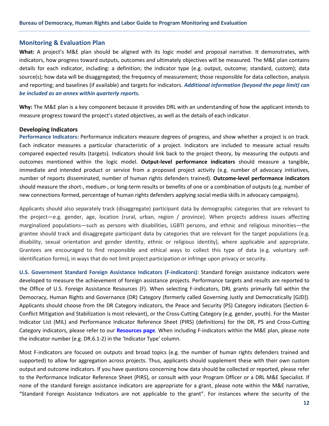#### <span id="page-14-0"></span>**Monitoring & Evaluation Plan**

**What:** A project's M&E plan should be aligned with its logic model and proposal narrative. It demonstrates, with indicators, how progress toward outputs, outcomes and ultimately objectives will be measured. The M&E plan contains details for each indicator, including: a definition; the indicator type (e.g. output, outcome; standard, custom); data source(s); how data will be disaggregated; the frequency of measurement; those responsible for data collection, analysis and reporting; and baselines (if available) and targets for indicators. *Additional information (beyond the page limit) can be included as an annex within quarterly reports.*

**Why:** The M&E plan is a key component because it provides DRL with an understanding of how the applicant intends to measure progress toward the project's stated objectives, as well as the details of each indicator.

#### <span id="page-14-1"></span>**Developing Indicators**

**Performance Indicators:** Performance indicators measure degrees of progress, and show whether a project is on track. Each indicator measures a particular characteristic of a project. Indicators are included to measure actual results compared expected results (targets). Indicators should link back to the project theory, by measuring the outputs and outcomes mentioned within the logic model. **Output-level performance indicators** should measure a tangible, immediate and intended product or service from a proposed project activity (e.g. number of advocacy initiatives, number of reports disseminated, number of human rights defenders trained). **Outcome-level performance indicators** should measure the short-, medium-, or long-term results or benefits of one or a combination of outputs (e.g. number of new connections formed, percentage of human rights defenders applying social media skills in advocacy campaigns).

Applicants should also separately track (disaggregate) participant data by demographic categories that are relevant to the project—e.g. gender, age, location (rural, urban, region / province). When projects address issues affecting marginalized populations—such as persons with disabilities, LGBTI persons, and ethnic and religious minorities—the grantee should track and disaggregate participant data by categories that are relevant for the target populations (e.g. disability, sexual orientation and gender identity, ethnic or religious identity), where applicable and appropriate. Grantees are encouraged to find responsible and ethical ways to collect this type of data (e.g. voluntary selfidentification forms), in ways that do not limit project participation or infringe upon privacy or security.

**U.S. Government Standard Foreign Assistance Indicators (F-indicators):** Standard foreign assistance indicators were developed to measure the achievement of foreign assistance projects. Performance targets and results are reported to the Office of U.S. Foreign Assistance Resources (F). When selecting F-indicators, DRL grants primarily fall within the Democracy, Human Rights and Governance (DR) Category (formerly called Governing Justly and Democratically [GJD]). Applicants should choose from the DR Category indicators, the Peace and Security (PS) Category indicators (Section 6- Conflict Mitigation and Stabilization is most relevant), or the Cross-Cutting Category (e.g. gender, youth). For the Master Indicator List (MIL) and Performance Indicator Reference Sheet (PIRS) (definitions) for the DR, PS and Cross-Cutting Category indicators, please refer to our **[Resources page](http://www.state.gov/j/drl/p/c72333.htm)**. When including F-indicators within the M&E plan, please note the indicator number (e.g. DR.6.1-2) in the 'Indicator Type' column.

Most F-indicators are focused on outputs and broad topics (e.g. the number of human rights defenders trained and supported) to allow for aggregation across projects. Thus, applicants should supplement these with their own custom output and outcome indicators. If you have questions concerning how data should be collected or reported, please refer to the Performance Indicator Reference Sheet (PIRS), or consult with your Program Officer or a DRL M&E Specialist. If none of the standard foreign assistance indicators are appropriate for a grant, please note within the M&E narrative, "Standard Foreign Assistance Indicators are not applicable to the grant". For instances where the security of the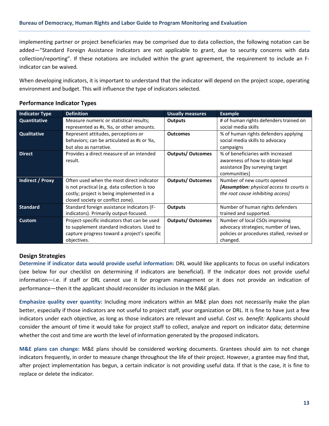implementing partner or project beneficiaries may be comprised due to data collection, the following notation can be added—"Standard Foreign Assistance Indicators are not applicable to grant, due to security concerns with data collection/reporting". If these notations are included within the grant agreement, the requirement to include an Findicator can be waived*.*

When developing indicators, it is important to understand that the indicator will depend on the project scope, operating environment and budget. This will influence the type of indicators selected.

#### <span id="page-15-0"></span>**Performance Indicator Types**

| <b>Indicator Type</b> | <b>Definition</b>                             | <b>Usually measures</b>  | <b>Example</b>                             |
|-----------------------|-----------------------------------------------|--------------------------|--------------------------------------------|
| Quantitative          | Measure numeric or statistical results;       | <b>Outputs</b>           | # of human rights defenders trained on     |
|                       | represented as #s, %s, or other amounts.      |                          | social media skills                        |
| Qualitative           | Represent attitudes, perceptions or           | <b>Outcomes</b>          | % of human rights defenders applying       |
|                       | behaviors; can be articulated as #s or %s,    |                          | social media skills to advocacy            |
|                       | but also as narrative.                        |                          | campaigns                                  |
| <b>Direct</b>         | Provides a direct measure of an intended      | <b>Outputs/ Outcomes</b> | % of beneficiaries with increased          |
|                       | result.                                       |                          | awareness of how to obtain legal           |
|                       |                                               |                          | assistance [by surveying target            |
|                       |                                               |                          | communities]                               |
| Indirect / Proxy      | Often used when the most direct indicator     | <b>Outputs/ Outcomes</b> | Number of new courts opened                |
|                       | is not practical (e.g. data collection is too |                          | [Assumption: physical access to courts is  |
|                       | costly; project is being implemented in a     |                          | the root cause inhibiting access]          |
|                       | closed society or conflict zone).             |                          |                                            |
| <b>Standard</b>       | Standard foreign assistance indicators (F-    | <b>Outputs</b>           | Number of human rights defenders           |
|                       | indicators). Primarily output-focused.        |                          | trained and supported.                     |
| <b>Custom</b>         | Project-specific indicators that can be used  | <b>Outputs/ Outcomes</b> | Number of local CSOs improving             |
|                       | to supplement standard indicators. Used to    |                          | advocacy strategies; number of laws,       |
|                       | capture progress toward a project's specific  |                          | policies or procedures stalled, revised or |
|                       | objectives.                                   |                          | changed.                                   |

#### <span id="page-15-1"></span>**Design Strategies**

**Determine if indicator data would provide useful information:** DRL would like applicants to focus on useful indicators (see below for our checklist on determining if indicators are beneficial). If the indicator does not provide useful information—i.e. if staff or DRL cannot use it for program management or it does not provide an indication of performance—then it the applicant should reconsider its inclusion in the M&E plan.

**Emphasize quality over quantity:** Including more indicators within an M&E plan does not necessarily make the plan better, especially if those indicators are not useful to project staff, your organization or DRL. It is fine to have just a few indicators under each objective, as long as those indicators are relevant and useful. *Cost vs. benefit:* Applicants should consider the amount of time it would take for project staff to collect, analyze and report on indicator data; determine whether the cost and time are worth the level of information generated by the proposed indicators.

**M&E plans can change:** M&E plans should be considered working documents. Grantees should aim to not change indicators frequently, in order to measure change throughout the life of their project. However, a grantee may find that, after project implementation has begun, a certain indicator is not providing useful data. If that is the case, it is fine to replace or delete the indicator.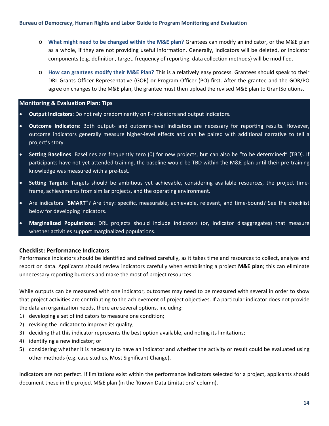- o **What might need to be changed within the M&E plan?** Grantees can modify an indicator, or the M&E plan as a whole, if they are not providing useful information. Generally, indicators will be deleted, or indicator components (e.g. definition, target, frequency of reporting, data collection methods) will be modified.
- o **How can grantees modify their M&E Plan?** This is a relatively easy process. Grantees should speak to their DRL Grants Officer Representative (GOR) or Program Officer (PO) first. After the grantee and the GOR/PO agree on changes to the M&E plan, the grantee must then upload the revised M&E plan to GrantSolutions.

#### <span id="page-16-0"></span>**Monitoring & Evaluation Plan: Tips**

- **Output Indicators**: Do not rely predominantly on F-indicators and output indicators.
- **Outcome Indicators**: Both output- and outcome-level indicators are necessary for reporting results. However, outcome indicators generally measure higher-level effects and can be paired with additional narrative to tell a project's story.
- **Setting Baselines**: Baselines are frequently zero (0) for new projects, but can also be "to be determined" (TBD). If participants have not yet attended training, the baseline would be TBD within the M&E plan until their pre-training knowledge was measured with a pre-test.
- **Setting Targets**: Targets should be ambitious yet achievable, considering available resources, the project timeframe, achievements from similar projects, and the operating environment.
- Are indicators "**SMART**"? Are they: specific, measurable, achievable, relevant, and time-bound? See the checklist below for developing indicators.
- **Marginalized Populations**: DRL projects should include indicators (or, indicator disaggregates) that measure whether activities support marginalized populations.

#### <span id="page-16-1"></span>**Checklist: Performance Indicators**

Performance indicators should be identified and defined carefully, as it takes time and resources to collect, analyze and report on data. Applicants should review indicators carefully when establishing a project **M&E plan**; this can eliminate unnecessary reporting burdens and make the most of project resources.

While outputs can be measured with one indicator, outcomes may need to be measured with several in order to show that project activities are contributing to the achievement of project objectives. If a particular indicator does not provide the data an organization needs, there are several options, including:

- 1) developing a set of indicators to measure one condition;
- 2) revising the indicator to improve its quality;
- 3) deciding that this indicator represents the best option available, and noting its limitations;
- 4) identifying a new indicator; or
- 5) considering whether it is necessary to have an indicator and whether the activity or result could be evaluated using other methods (e.g. case studies, Most Significant Change).

Indicators are not perfect. If limitations exist within the performance indicators selected for a project, applicants should document these in the project M&E plan (in the 'Known Data Limitations' column).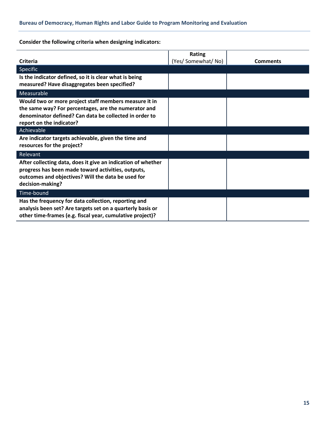**Consider the following criteria when designing indicators:**

| Criteria                                                                                                                                                                                            | <b>Rating</b><br>(Yes/ Somewhat/ No) | <b>Comments</b> |
|-----------------------------------------------------------------------------------------------------------------------------------------------------------------------------------------------------|--------------------------------------|-----------------|
| Specific                                                                                                                                                                                            |                                      |                 |
| Is the indicator defined, so it is clear what is being<br>measured? Have disaggregates been specified?                                                                                              |                                      |                 |
| Measurable                                                                                                                                                                                          |                                      |                 |
| Would two or more project staff members measure it in<br>the same way? For percentages, are the numerator and<br>denominator defined? Can data be collected in order to<br>report on the indicator? |                                      |                 |
| Achievable                                                                                                                                                                                          |                                      |                 |
| Are indicator targets achievable, given the time and<br>resources for the project?                                                                                                                  |                                      |                 |
| Relevant                                                                                                                                                                                            |                                      |                 |
| After collecting data, does it give an indication of whether<br>progress has been made toward activities, outputs,<br>outcomes and objectives? Will the data be used for<br>decision-making?        |                                      |                 |
| Time-bound                                                                                                                                                                                          |                                      |                 |
| Has the frequency for data collection, reporting and<br>analysis been set? Are targets set on a quarterly basis or<br>other time-frames (e.g. fiscal year, cumulative project)?                     |                                      |                 |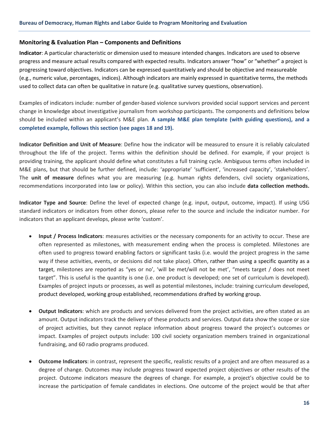#### <span id="page-18-0"></span>**Monitoring & Evaluation Plan – Components and Definitions**

**Indicator**: A particular characteristic or dimension used to measure intended changes. Indicators are used to observe progress and measure actual results compared with expected results. Indicators answer "how" or "whether" a project is progressing toward objectives. Indicators can be expressed quantitatively and should be objective and measureable (e.g., numeric value, percentages, indices). Although indicators are mainly expressed in quantitative terms, the methods used to collect data can often be qualitative in nature (e.g. qualitative survey questions, observation).

Examples of indicators include: number of gender-based violence survivors provided social support services and percent change in knowledge about investigative journalism from workshop participants. The components and definitions below should be included within an applicant's M&E plan. **A sample M&E plan template (with guiding questions), and a completed example, follows this section (see page[s 18](#page-20-0) and [19\)](#page-21-0).**

**Indicator Definition and Unit of Measure**: Define how the indicator will be measured to ensure it is reliably calculated throughout the life of the project. Terms within the definition should be defined. For example, if your project is providing training, the applicant should define what constitutes a full training cycle. Ambiguous terms often included in M&E plans, but that should be further defined, include: 'appropriate' 'sufficient', 'increased capacity', 'stakeholders'. The **unit of measure** defines what you are measuring (e.g. human rights defenders, civil society organizations, recommendations incorporated into law or policy). Within this section, you can also include **data collection methods.**

**Indicator Type and Source**: Define the level of expected change (e.g. input, output, outcome, impact). If using USG standard indicators or indicators from other donors, please refer to the source and include the indicator number. For indicators that an applicant develops, please write 'custom'.

- **Input / Process Indicators**: measures activities or the necessary components for an activity to occur. These are often represented as milestones, with measurement ending when the process is completed. Milestones are often used to progress toward enabling factors or significant tasks (i.e. would the project progress in the same way if these activities, events, or decisions did not take place). Often, rather than using a specific quantity as a target, milestones are reported as "yes or no', 'will be met/will not be met', "meets target / does not meet target". This is useful is the quantity is one (i.e. one product is developed; one set of curriculum is developed). Examples of project inputs or processes, as well as potential milestones, include: training curriculum developed, product developed, working group established, recommendations drafted by working group.
- **Output Indicators**: which are products and services delivered from the project activities, are often stated as an amount. Output indicators track the delivery of these products and services. Output data show the scope or size of project activities, but they cannot replace information about progress toward the project's outcomes or impact. Examples of project outputs include: 100 civil society organization members trained in organizational fundraising, and 60 radio programs produced.
- **Outcome Indicators**: in contrast, represent the specific, realistic results of a project and are often measured as a degree of change. Outcomes may include progress toward expected project objectives or other results of the project. Outcome indicators measure the degrees of change. For example, a project's objective could be to increase the participation of female candidates in elections. One outcome of the project would be that after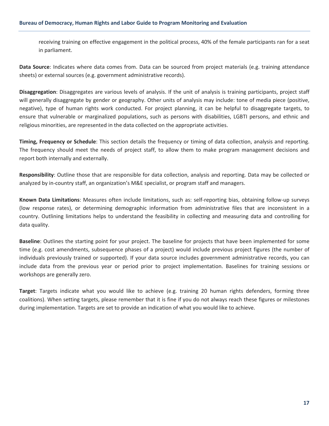receiving training on effective engagement in the political process, 40% of the female participants ran for a seat in parliament.

**Data Source**: Indicates where data comes from. Data can be sourced from project materials (e.g. training attendance sheets) or external sources (e.g. government administrative records).

**Disaggregation**: Disaggregates are various levels of analysis. If the unit of analysis is training participants, project staff will generally disaggregate by gender or geography. Other units of analysis may include: tone of media piece (positive, negative), type of human rights work conducted. For project planning, it can be helpful to disaggregate targets, to ensure that vulnerable or marginalized populations, such as persons with disabilities, LGBTI persons, and ethnic and religious minorities, are represented in the data collected on the appropriate activities.

**Timing, Frequency or Schedule**: This section details the frequency or timing of data collection, analysis and reporting. The frequency should meet the needs of project staff, to allow them to make program management decisions and report both internally and externally.

**Responsibility**: Outline those that are responsible for data collection, analysis and reporting. Data may be collected or analyzed by in-country staff, an organization's M&E specialist, or program staff and managers.

**Known Data Limitations**: Measures often include limitations, such as: self-reporting bias, obtaining follow-up surveys (low response rates), or determining demographic information from administrative files that are inconsistent in a country. Outlining limitations helps to understand the feasibility in collecting and measuring data and controlling for data quality.

**Baseline**: Outlines the starting point for your project. The baseline for projects that have been implemented for some time (e.g. cost amendments, subsequence phases of a project) would include previous project figures (the number of individuals previously trained or supported). If your data source includes government administrative records, you can include data from the previous year or period prior to project implementation. Baselines for training sessions or workshops are generally zero.

**Target**: Targets indicate what you would like to achieve (e.g. training 20 human rights defenders, forming three coalitions). When setting targets, please remember that it is fine if you do not always reach these figures or milestones during implementation. Targets are set to provide an indication of what you would like to achieve.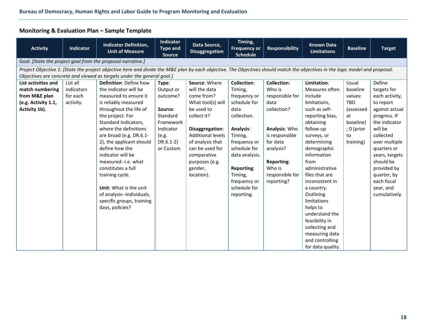## **Monitoring & Evaluation Plan – Sample Template**

<span id="page-20-0"></span>

| <b>Activity</b>                                                                                                                                                               | <b>Indicator</b> | <b>Indicator Definition,</b><br><b>Unit of Measure</b>                 | Indicator<br><b>Type and</b><br><b>Source</b> | Data Source,<br><b>Disaggregation</b> | Timing,<br><b>Frequency or</b><br><b>Schedule</b> | <b>Responsibility</b> | <b>Known Data</b><br><b>Limitations</b> | <b>Baseline</b> | <b>Target</b>  |  |  |
|-------------------------------------------------------------------------------------------------------------------------------------------------------------------------------|------------------|------------------------------------------------------------------------|-----------------------------------------------|---------------------------------------|---------------------------------------------------|-----------------------|-----------------------------------------|-----------------|----------------|--|--|
| Goal: [State the project goal from the proposal narrative.]                                                                                                                   |                  |                                                                        |                                               |                                       |                                                   |                       |                                         |                 |                |  |  |
| Project Objective 1: [State the project objective here and divide the M&E plan by each objective. The Objectives should match the objectives in the logic model and proposal. |                  |                                                                        |                                               |                                       |                                                   |                       |                                         |                 |                |  |  |
|                                                                                                                                                                               |                  | Objectives are concrete and viewed as targets under the general goal.] |                                               |                                       |                                                   |                       |                                         |                 |                |  |  |
| List activities and                                                                                                                                                           | List all         | Definition: Define how                                                 | Type:                                         | Source: Where                         | <b>Collection:</b>                                | <b>Collection:</b>    | Limitation:                             | Usual           | Define         |  |  |
| match numbering                                                                                                                                                               | indicators       | the indicator will be                                                  | Output or                                     | will the data                         | Timing,                                           | Who is                | Measures often                          | baseline        | targets for    |  |  |
| from M&E plan                                                                                                                                                                 | for each         | measured to ensure it                                                  | outcome?                                      | come from?                            | frequency or                                      | responsible for       | include                                 | values:         | each activity, |  |  |
| (e.g. Activity 1.1,                                                                                                                                                           | activity.        | is reliably measured                                                   |                                               | What tool(s) will                     | schedule for                                      | data                  | limitations,                            | <b>TBD</b>      | to report      |  |  |
| Activity 1b).                                                                                                                                                                 |                  | throughout the life of                                                 | Source:                                       | be used to                            | data                                              | collection?           | such as self-                           | (assessed       | against actual |  |  |
|                                                                                                                                                                               |                  | the project. For                                                       | Standard                                      | collect it?                           | collection.                                       |                       | reporting bias,                         | at              | progress. If   |  |  |
|                                                                                                                                                                               |                  | Standard Indicators,                                                   | Framework                                     |                                       |                                                   |                       | obtaining                               | baseline)       | the indicator  |  |  |
|                                                                                                                                                                               |                  | where the definitions                                                  | Indicator                                     | Disaggregation:                       | Analysis:                                         | Analysis: Who         | follow-up                               | ; 0 (prior      | will be        |  |  |
|                                                                                                                                                                               |                  | are broad (e.g. DR.6.1-                                                | (e.g.                                         | <b>Additional levels</b>              | Timing,                                           | is responsible        | surveys, or                             | to              | collected      |  |  |
|                                                                                                                                                                               |                  | 2), the applicant should                                               | $DR.6.1-2)$                                   | of analysis that                      | frequency or                                      | for data              | determining                             | training)       | over multiple  |  |  |
|                                                                                                                                                                               |                  | define how the                                                         | or Custom                                     | can be used for                       | schedule for                                      | analysis?             | demographic                             |                 | quarters or    |  |  |
|                                                                                                                                                                               |                  | indicator will be                                                      |                                               | comparative                           | data analysis.                                    |                       | information                             |                 | years, targets |  |  |
|                                                                                                                                                                               |                  | measured--i.e. what                                                    |                                               | purposes (e.g.                        |                                                   | <b>Reporting:</b>     | from                                    |                 | should be      |  |  |
|                                                                                                                                                                               |                  | constitutes a full                                                     |                                               | gender,                               | Reporting:                                        | Who is                | administrative                          |                 | provided by    |  |  |
|                                                                                                                                                                               |                  | training cycle.                                                        |                                               | location).                            | Timing,                                           | responsible for       | files that are                          |                 | quarter, by    |  |  |
|                                                                                                                                                                               |                  |                                                                        |                                               |                                       | frequency or                                      | reporting?            | inconsistent in                         |                 | each fiscal    |  |  |
|                                                                                                                                                                               |                  | Unit: What is the unit                                                 |                                               |                                       | schedule for                                      |                       | a country.                              |                 | year, and      |  |  |
|                                                                                                                                                                               |                  | of analysis--individuals,                                              |                                               |                                       | reporting.                                        |                       | Outlining                               |                 | cumulatively.  |  |  |
|                                                                                                                                                                               |                  | specific groups, training                                              |                                               |                                       |                                                   |                       | limitations                             |                 |                |  |  |
|                                                                                                                                                                               |                  | days, policies?                                                        |                                               |                                       |                                                   |                       | helps to                                |                 |                |  |  |
|                                                                                                                                                                               |                  |                                                                        |                                               |                                       |                                                   |                       | understand the                          |                 |                |  |  |
|                                                                                                                                                                               |                  |                                                                        |                                               |                                       |                                                   |                       | feasibility in                          |                 |                |  |  |
|                                                                                                                                                                               |                  |                                                                        |                                               |                                       |                                                   |                       | collecting and                          |                 |                |  |  |
|                                                                                                                                                                               |                  |                                                                        |                                               |                                       |                                                   |                       | measuring data                          |                 |                |  |  |
|                                                                                                                                                                               |                  |                                                                        |                                               |                                       |                                                   |                       | and controlling                         |                 |                |  |  |
|                                                                                                                                                                               |                  |                                                                        |                                               |                                       |                                                   |                       | for data quality.                       |                 |                |  |  |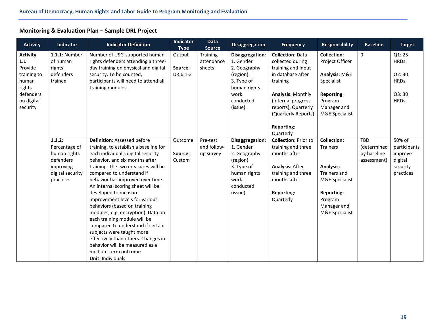## **Monitoring & Evaluation Plan – Sample DRL Project**

<span id="page-21-0"></span>

| <b>Activity</b> | <b>Indicator</b>     | <b>Indicator Definition</b>           | <b>Indicator</b><br><b>Type</b> | <b>Data</b><br><b>Source</b> | <b>Disaggregation</b> | Frequency                   | <b>Responsibility</b> | <b>Baseline</b> | <b>Target</b> |
|-----------------|----------------------|---------------------------------------|---------------------------------|------------------------------|-----------------------|-----------------------------|-----------------------|-----------------|---------------|
| <b>Activity</b> | <b>1.1.1: Number</b> | Number of USG-supported human         | Output                          | Training                     | Disaggregation:       | <b>Collection: Data</b>     | <b>Collection:</b>    | $\mathbf 0$     | Q1:25         |
| 1.1:            | of human             | rights defenders attending a three-   |                                 | attendance                   | 1. Gender             | collected during            | Project Officer       |                 | <b>HRDs</b>   |
| Provide         | rights               | day training on physical and digital  | Source:                         | sheets                       | 2. Geography          | training and input          |                       |                 |               |
| training to     | defenders            | security. To be counted,              | DR.6.1-2                        |                              | (region)              | in database after           | Analysis: M&E         |                 | Q2:30         |
| human           | trained              | participants will need to attend all  |                                 |                              | 3. Type of            | training                    | Specialist            |                 | <b>HRDs</b>   |
| rights          |                      | training modules.                     |                                 |                              | human rights          |                             |                       |                 |               |
| defenders       |                      |                                       |                                 |                              | work                  | <b>Analysis: Monthly</b>    | Reporting:            |                 | Q3:30         |
| on digital      |                      |                                       |                                 |                              | conducted             | (internal progress          | Program               |                 | <b>HRDs</b>   |
| security        |                      |                                       |                                 |                              | (issue)               | reports), Quarterly         | Manager and           |                 |               |
|                 |                      |                                       |                                 |                              |                       | (Quarterly Reports)         | M&E Specialist        |                 |               |
|                 |                      |                                       |                                 |                              |                       | Reporting:                  |                       |                 |               |
|                 |                      |                                       |                                 |                              |                       | Quarterly                   |                       |                 |               |
|                 | 1.1.2:               | Definition: Assessed before           | Outcome                         | Pre-test                     | Disaggregation:       | <b>Collection: Prior to</b> | <b>Collection:</b>    | TBD             | 50% of        |
|                 | Percentage of        | training, to establish a baseline for |                                 | and follow-                  | 1. Gender             | training and three          | <b>Trainers</b>       | (determined     | participants  |
|                 | human rights         | each individual's digital security    | Source:                         | up survey                    | 2. Geography          | months after                |                       | by baseline     | improve       |
|                 | defenders            | behavior, and six months after        | Custom                          |                              | (region)              |                             |                       | assessment)     | digital       |
|                 | improving            | training. The two measures will be    |                                 |                              | 3. Type of            | <b>Analysis: After</b>      | <b>Analysis:</b>      |                 | security      |
|                 | digital security     | compared to understand if             |                                 |                              | human rights          | training and three          | Trainers and          |                 | practices     |
|                 | practices            | behavior has improved over time.      |                                 |                              | work                  | months after                | M&E Specialist        |                 |               |
|                 |                      | An internal scoring sheet will be     |                                 |                              | conducted             |                             |                       |                 |               |
|                 |                      | developed to measure                  |                                 |                              | (issue)               | <b>Reporting:</b>           | <b>Reporting:</b>     |                 |               |
|                 |                      | improvement levels for various        |                                 |                              |                       | Quarterly                   | Program               |                 |               |
|                 |                      | behaviors (based on training          |                                 |                              |                       |                             | Manager and           |                 |               |
|                 |                      | modules, e.g. encryption). Data on    |                                 |                              |                       |                             | M&E Specialist        |                 |               |
|                 |                      | each training module will be          |                                 |                              |                       |                             |                       |                 |               |
|                 |                      | compared to understand if certain     |                                 |                              |                       |                             |                       |                 |               |
|                 |                      | subjects were taught more             |                                 |                              |                       |                             |                       |                 |               |
|                 |                      | effectively than others. Changes in   |                                 |                              |                       |                             |                       |                 |               |
|                 |                      | behavior will be measured as a        |                                 |                              |                       |                             |                       |                 |               |
|                 |                      | medium-term outcome.                  |                                 |                              |                       |                             |                       |                 |               |
|                 |                      | Unit: Individuals                     |                                 |                              |                       |                             |                       |                 |               |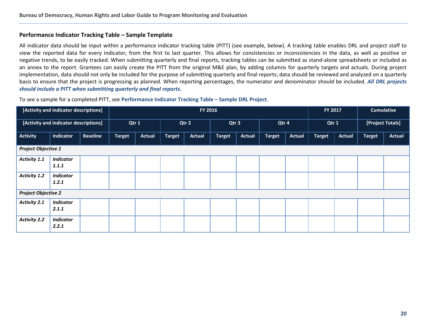#### **Performance Indicator Tracking Table – Sample Template**

All indicator data should be input within a performance indicator tracking table (PITT) (see example, below). A tracking table enables DRL and project staff to view the reported data for every indicator, from the first to last quarter. This allows for consistencies or inconsistencies in the data, as well as positive or negative trends, to be easily tracked. When submitting quarterly and final reports, tracking tables can be submitted as stand-alone spreadsheets or included as an annex to the report. Grantees can easily create the PITT from the original M&E plan, by adding columns for quarterly targets and actuals. During project implementation, data should not only be included for the purpose of submitting quarterly and final reports; data should be reviewed and analyzed on a quarterly basis to ensure that the project is progressing as planned. When reporting percentages, the numerator and denominator should be included. *All DRL projects should include a PITT when submitting quarterly and final reports.*

<span id="page-22-0"></span>

| [Activity and indicator descriptions]<br>FY 2016 |                                       |                 |               |               |               | <b>Cumulative</b><br>FY 2017 |                  |               |               |               |               |               |               |                  |
|--------------------------------------------------|---------------------------------------|-----------------|---------------|---------------|---------------|------------------------------|------------------|---------------|---------------|---------------|---------------|---------------|---------------|------------------|
|                                                  | [Activity and indicator descriptions] |                 | Qtr 1         |               |               | Qtr 2                        | Qtr <sub>3</sub> |               | Qtr 4         |               |               | Qtr 1         |               | [Project Totals] |
| Activity                                         | Indicator                             | <b>Baseline</b> | <b>Target</b> | <b>Actual</b> | <b>Target</b> | <b>Actual</b>                | <b>Target</b>    | <b>Actual</b> | <b>Target</b> | <b>Actual</b> | <b>Target</b> | <b>Actual</b> | <b>Target</b> | <b>Actual</b>    |
| <b>Project Objective 1</b>                       |                                       |                 |               |               |               |                              |                  |               |               |               |               |               |               |                  |
| Activity 1.1                                     | <b>Indicator</b><br>1.1.1             |                 |               |               |               |                              |                  |               |               |               |               |               |               |                  |
| <b>Activity 1.2</b>                              | <b>Indicator</b><br>1.2.1             |                 |               |               |               |                              |                  |               |               |               |               |               |               |                  |
| <b>Project Objective 2</b>                       |                                       |                 |               |               |               |                              |                  |               |               |               |               |               |               |                  |
| Activity 2.1                                     | <b>Indicator</b><br>2.1.1             |                 |               |               |               |                              |                  |               |               |               |               |               |               |                  |
| <b>Activity 2.2</b>                              | <b>Indicator</b><br>2.2.1             |                 |               |               |               |                              |                  |               |               |               |               |               |               |                  |

To see a sample for a completed PITT, see **[Performance Indicator Tracking Table –](#page-26-1) Sample DRL Project**.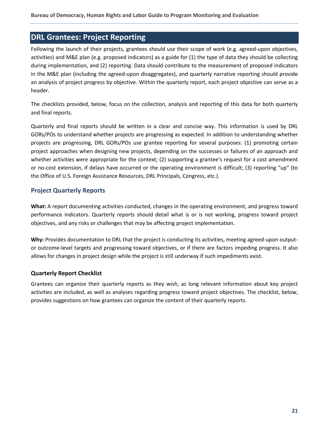## <span id="page-23-0"></span>**DRL Grantees: Project Reporting**

Following the launch of their projects, grantees should use their scope of work (e.g. agreed-upon objectives, activities) and M&E plan (e.g. proposed indicators) as a guide for (1) the type of data they should be collecting during implementation, and (2) reporting. Data should contribute to the measurement of proposed indicators in the M&E plan (including the agreed-upon disaggregates), and quarterly narrative reporting should provide an analysis of project progress by objective. Within the quarterly report, each project objective can serve as a header.

The checklists provided, below, focus on the collection, analysis and reporting of this data for both quarterly and final reports.

Quarterly and final reports should be written in a clear and concise way. This information is used by DRL GORs/POs to understand whether projects are progressing as expected. In addition to understanding whether projects are progressing, DRL GORs/POs use grantee reporting for several purposes: (1) promoting certain project approaches when designing new projects, depending on the successes or failures of an approach and whether activities were appropriate for the context; (2) supporting a grantee's request for a cost amendment or no-cost extension, if delays have occurred or the operating environment is difficult; (3) reporting "up" (to the Office of U.S. Foreign Assistance Resources, DRL Principals, Congress, etc.).

#### <span id="page-23-1"></span>**Project Quarterly Reports**

**What:** A report documenting activities conducted, changes in the operating environment, and progress toward performance indicators. Quarterly reports should detail what is or is not working, progress toward project objectives, and any risks or challenges that may be affecting project implementation.

**Why:** Provides documentation to DRL that the project is conducting its activities, meeting agreed-upon outputor outcome-level targets and progressing toward objectives, or if there are factors impeding progress. It also allows for changes in project design while the project is still underway if such impediments exist.

#### <span id="page-23-2"></span>**Quarterly Report Checklist**

Grantees can organize their quarterly reports as they wish, as long relevant information about key project activities are included, as well as analyses regarding progress toward project objectives. The checklist, below, provides suggestions on how grantees can organize the content of their quarterly reports.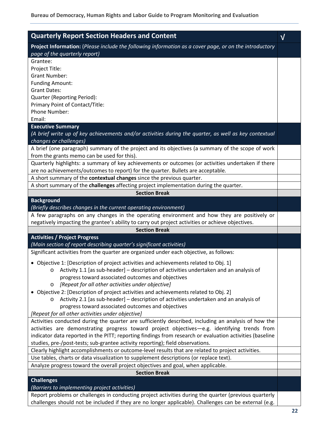| <b>Quarterly Report Section Headers and Content</b>                                                                                                    |           |
|--------------------------------------------------------------------------------------------------------------------------------------------------------|-----------|
|                                                                                                                                                        | ${\sf V}$ |
| Project Information: (Please include the following information as a cover page, or on the introductory<br>page of the quarterly report)                |           |
| Grantee:                                                                                                                                               |           |
| Project Title:                                                                                                                                         |           |
| <b>Grant Number:</b>                                                                                                                                   |           |
| <b>Funding Amount:</b>                                                                                                                                 |           |
| <b>Grant Dates:</b>                                                                                                                                    |           |
| Quarter (Reporting Period):                                                                                                                            |           |
| Primary Point of Contact/Title:                                                                                                                        |           |
| Phone Number:                                                                                                                                          |           |
| Email:                                                                                                                                                 |           |
| <b>Executive Summary</b>                                                                                                                               |           |
| (A brief write up of key achievements and/or activities during the quarter, as well as key contextual                                                  |           |
| changes or challenges)                                                                                                                                 |           |
| A brief (one paragraph) summary of the project and its objectives (a summary of the scope of work<br>from the grants memo can be used for this).       |           |
| Quarterly highlights: a summary of key achievements or outcomes (or activities undertaken if there                                                     |           |
| are no achievements/outcomes to report) for the quarter. Bullets are acceptable.                                                                       |           |
| A short summary of the contextual changes since the previous quarter.                                                                                  |           |
| A short summary of the challenges affecting project implementation during the quarter.                                                                 |           |
| <b>Section Break</b>                                                                                                                                   |           |
| <b>Background</b>                                                                                                                                      |           |
| (Briefly describes changes in the current operating environment)                                                                                       |           |
| A few paragraphs on any changes in the operating environment and how they are positively or                                                            |           |
| negatively impacting the grantee's ability to carry out project activities or achieve objectives.                                                      |           |
| <b>Section Break</b>                                                                                                                                   |           |
| <b>Activities / Project Progress</b><br>(Main section of report describing quarter's significant activities)                                           |           |
| Significant activities from the quarter are organized under each objective, as follows:                                                                |           |
|                                                                                                                                                        |           |
| • Objective 1: [Description of project activities and achievements related to Obj. 1]                                                                  |           |
| Activity 1.1 [as sub-header] – description of activities undertaken and an analysis of<br>O                                                            |           |
| progress toward associated outcomes and objectives<br>[Repeat for all other activities under objective]                                                |           |
| O<br>Objective 2: [Description of project activities and achievements related to Obj. 2]                                                               |           |
| Activity 2.1 [as sub-header] - description of activities undertaken and an analysis of<br>O                                                            |           |
| progress toward associated outcomes and objectives                                                                                                     |           |
| [Repeat for all other activities under objective]                                                                                                      |           |
| Activities conducted during the quarter are sufficiently described, including an analysis of how the                                                   |           |
| activities are demonstrating progress toward project objectives-e.g. identifying trends from                                                           |           |
| indicator data reported in the PITT; reporting findings from research or evaluation activities (baseline                                               |           |
| studies, pre-/post-tests; sub-grantee activity reporting); field observations.                                                                         |           |
| Clearly highlight accomplishments or outcome-level results that are related to project activities.                                                     |           |
| Use tables, charts or data visualization to supplement descriptions (or replace text).                                                                 |           |
| Analyze progress toward the overall project objectives and goal, when applicable.                                                                      |           |
| <b>Section Break</b>                                                                                                                                   |           |
| <b>Challenges</b>                                                                                                                                      |           |
| (Barriers to implementing project activities)<br>Report problems or challenges in conducting project activities during the quarter (previous quarterly |           |
| challenges should not be included if they are no longer applicable). Challenges can be external (e.g.                                                  |           |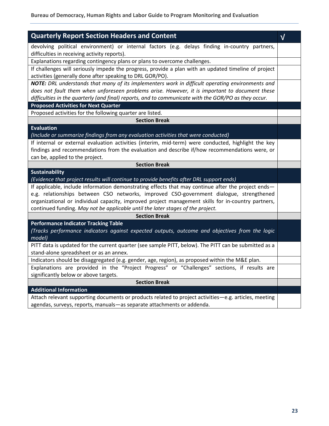| <b>Quarterly Report Section Headers and Content</b>                                                                                                                                                  | $\sqrt{}$ |
|------------------------------------------------------------------------------------------------------------------------------------------------------------------------------------------------------|-----------|
| devolving political environment) or internal factors (e.g. delays finding in-country partners,                                                                                                       |           |
| difficulties in receiving activity reports).                                                                                                                                                         |           |
| Explanations regarding contingency plans or plans to overcome challenges.                                                                                                                            |           |
| If challenges will seriously impede the progress, provide a plan with an updated timeline of project                                                                                                 |           |
| activities (generally done after speaking to DRL GOR/PO).                                                                                                                                            |           |
| NOTE: DRL understands that many of its implementers work in difficult operating environments and                                                                                                     |           |
| does not fault them when unforeseen problems arise. However, it is important to document these                                                                                                       |           |
| difficulties in the quarterly (and final) reports, and to communicate with the GOR/PO as they occur.                                                                                                 |           |
| <b>Proposed Activities for Next Quarter</b>                                                                                                                                                          |           |
| Proposed activities for the following quarter are listed.                                                                                                                                            |           |
| <b>Section Break</b>                                                                                                                                                                                 |           |
| <b>Evaluation</b>                                                                                                                                                                                    |           |
| (Include or summarize findings from any evaluation activities that were conducted)                                                                                                                   |           |
| If internal or external evaluation activities (interim, mid-term) were conducted, highlight the key<br>findings and recommendations from the evaluation and describe if/how recommendations were, or |           |
| can be, applied to the project.                                                                                                                                                                      |           |
| <b>Section Break</b>                                                                                                                                                                                 |           |
| <b>Sustainability</b>                                                                                                                                                                                |           |
| (Evidence that project results will continue to provide benefits after DRL support ends)                                                                                                             |           |
| If applicable, include information demonstrating effects that may continue after the project ends-                                                                                                   |           |
| e.g. relationships between CSO networks, improved CSO-government dialogue, strengthened                                                                                                              |           |
| organizational or individual capacity, improved project management skills for in-country partners,                                                                                                   |           |
| continued funding. May not be applicable until the later stages of the project.                                                                                                                      |           |
| <b>Section Break</b>                                                                                                                                                                                 |           |
| <b>Performance Indicator Tracking Table</b>                                                                                                                                                          |           |
| (Tracks performance indicators against expected outputs, outcome and objectives from the logic                                                                                                       |           |
| model)                                                                                                                                                                                               |           |
| PITT data is updated for the current quarter (see sample PITT, below). The PITT can be submitted as a<br>stand-alone spreadsheet or as an annex.                                                     |           |
| Indicators should be disaggregated (e.g. gender, age, region), as proposed within the M&E plan.                                                                                                      |           |
| Explanations are provided in the "Project Progress" or "Challenges" sections, if results are                                                                                                         |           |
| significantly below or above targets.                                                                                                                                                                |           |
| <b>Section Break</b>                                                                                                                                                                                 |           |
| <b>Additional Information</b>                                                                                                                                                                        |           |
| Attach relevant supporting documents or products related to project activities-e.g. articles, meeting                                                                                                |           |
|                                                                                                                                                                                                      |           |

agendas, surveys, reports, manuals—as separate attachments or addenda.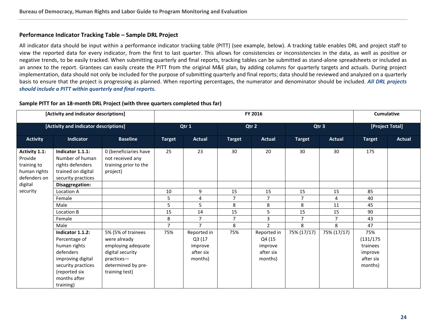#### <span id="page-26-1"></span>**Performance Indicator Tracking Table – Sample DRL Project**

All indicator data should be input within a performance indicator tracking table (PITT) (see example, below). A tracking table enables DRL and project staff to view the reported data for every indicator, from the first to last quarter. This allows for consistencies or inconsistencies in the data, as well as positive or negative trends, to be easily tracked. When submitting quarterly and final reports, tracking tables can be submitted as stand-alone spreadsheets or included as an annex to the report. Grantees can easily create the PITT from the original M&E plan, by adding columns for quarterly targets and actuals. During project implementation, data should not only be included for the purpose of submitting quarterly and final reports; data should be reviewed and analyzed on a quarterly basis to ensure that the project is progressing as planned. When reporting percentages, the numerator and denominator should be included. *All DRL projects should include a PITT within quarterly and final reports.*

<span id="page-26-0"></span>

| [Activity and indicator descriptions]<br>[Activity and indicator descriptions] |                                                                                                                                                         |                                                                                                                                    | FY 2016        |                                                          |                |                                                          |                |                | <b>Cumulative</b>                                               |               |
|--------------------------------------------------------------------------------|---------------------------------------------------------------------------------------------------------------------------------------------------------|------------------------------------------------------------------------------------------------------------------------------------|----------------|----------------------------------------------------------|----------------|----------------------------------------------------------|----------------|----------------|-----------------------------------------------------------------|---------------|
|                                                                                |                                                                                                                                                         |                                                                                                                                    | Qtr 1          |                                                          | Qtr 2          |                                                          | Qtr 3          |                | [Project Total]                                                 |               |
| <b>Activity</b>                                                                | Indicator                                                                                                                                               | <b>Baseline</b>                                                                                                                    | <b>Target</b>  | <b>Actual</b>                                            | <b>Target</b>  | <b>Actual</b>                                            | <b>Target</b>  | <b>Actual</b>  | <b>Target</b>                                                   | <b>Actual</b> |
| Activity 1.1:<br>Provide<br>training to<br>human rights<br>defenders on        | Indicator 1.1.1:<br>Number of human<br>rights defenders<br>trained on digital<br>security practices                                                     | 0 (beneficiaries have<br>not received any<br>training prior to the<br>project)                                                     | 25             | 23                                                       | 30             | 20                                                       | 30             | 30             | 175                                                             |               |
| digital                                                                        | Disaggregation:                                                                                                                                         |                                                                                                                                    |                |                                                          |                |                                                          |                |                |                                                                 |               |
| security                                                                       | Location A                                                                                                                                              |                                                                                                                                    | 10             | 9                                                        | 15             | 15                                                       | 15             | 15             | 85                                                              |               |
|                                                                                | Female                                                                                                                                                  |                                                                                                                                    | 5              | 4                                                        | $\overline{7}$ | $\overline{7}$                                           | $\overline{7}$ | 4              | 40                                                              |               |
|                                                                                | Male                                                                                                                                                    |                                                                                                                                    | 5              | 5                                                        | 8              | 8                                                        | 8              | 11             | 45                                                              |               |
|                                                                                | Location B                                                                                                                                              |                                                                                                                                    | 15             | 14                                                       | 15             | 5.                                                       | 15             | 15             | 90                                                              |               |
|                                                                                | Female                                                                                                                                                  |                                                                                                                                    | 8              | $\overline{7}$                                           | $\overline{7}$ | $\mathbf{3}$                                             | $\overline{7}$ | $\overline{7}$ | 43                                                              |               |
|                                                                                | Male                                                                                                                                                    |                                                                                                                                    | $\overline{7}$ | $\overline{7}$                                           | 8              | $\overline{2}$                                           | 8              | 8              | 47                                                              |               |
|                                                                                | Indicator 1.1.2:<br>Percentage of<br>human rights<br>defenders<br>improving digital<br>security practices<br>(reported six<br>months after<br>training) | 5% (5% of trainees<br>were already<br>employing adequate<br>digital security<br>practices-<br>determined by pre-<br>training test) | 75%            | Reported in<br>Q3 (17<br>improve<br>after six<br>months) | 75%            | Reported in<br>Q4 (15<br>improve<br>after six<br>months) | 75% (17/17)    | 75% (17/17)    | 75%<br>(131/175)<br>trainees<br>improve<br>after six<br>months) |               |

#### **Sample PITT for an 18-month DRL Project (with three quarters completed thus far)**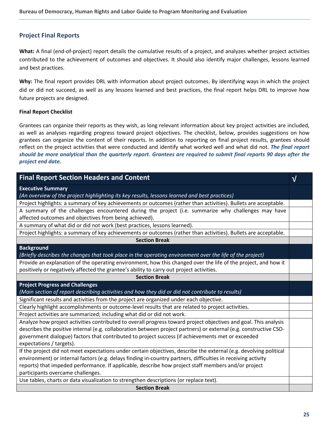#### <span id="page-27-0"></span>**Project Final Reports**

**What:** A final (end-of-project) report details the cumulative results of a project, and analyzes whether project activities contributed to the achievement of outcomes and objectives. It should also identify major challenges, lessons learned and best practices.

**Why:** The final report provides DRL with information about project outcomes. By identifying ways in which the project did or did not succeed, as well as any lessons learned and best practices, the final report helps DRL to improve how future projects are designed.

#### **Final Report Checklist**

Grantees can organize their reports as they wish, as long relevant information about key project activities are included, as well as analyses regarding progress toward project objectives. The checklist, below, provides suggestions on how grantees can organize the content of their reports. In addition to reporting on final project results, grantees should reflect on the project activities that were conducted and identify what worked well and what did not. *The final report should be more analytical than the quarterly report. Grantees are required to submit final reports 90 days after the project end date.*

| <b>Final Report Section Headers and Content</b>                                                                    | $\sqrt{ }$ |
|--------------------------------------------------------------------------------------------------------------------|------------|
| <b>Executive Summary</b>                                                                                           |            |
| (An overview of the project highlighting its key results, lessons learned and best practices)                      |            |
| Project highlights: a summary of key achievements or outcomes (rather than activities). Bullets are acceptable.    |            |
| A summary of the challenges encountered during the project (i.e. summarize why challenges may have                 |            |
| affected outcomes and objectives from being achieved).                                                             |            |
| A summary of what did or did not work (best practices, lessons learned).                                           |            |
| Project highlights: a summary of key achievements or outcomes (rather than activities). Bullets are acceptable.    |            |
| <b>Section Break</b>                                                                                               |            |
| <b>Background</b>                                                                                                  |            |
| (Briefly describes the changes that took place in the operating environment over the life of the project)          |            |
| Provide an explanation of the operating environment, how this changed over the life of the project, and how it     |            |
| positively or negatively affected the grantee's ability to carry out project activities.                           |            |
| <b>Section Break</b>                                                                                               |            |
| <b>Project Progress and Challenges</b>                                                                             |            |
| (Main section of report describing activities and how they did or did not contribute to results)                   |            |
| Significant results and activities from the project are organized under each objective.                            |            |
| Clearly highlight accomplishments or outcome-level results that are related to project activities.                 |            |
| Project activities are summarized; including what did or did not work.                                             |            |
| Analyze how project activities contributed to overall progress toward project objectives and goal. This analysis   |            |
| describes the positive internal (e.g. collaboration between project partners) or external (e.g. constructive CSO-  |            |
| government dialogue) factors that contributed to project success (if achievements met or exceeded                  |            |
| expectations / targets).                                                                                           |            |
| If the project did not meet expectations under certain objectives, describe the external (e.g. devolving political |            |
| environment) or internal factors (e.g. delays finding in-country partners, difficulties in receiving activity      |            |
| reports) that impeded performance. If applicable, describe how project staff members and/or project                |            |
| participants overcame challenges.                                                                                  |            |
| Use tables, charts or data visualization to strengthen descriptions (or replace text).                             |            |
| <b>Section Break</b>                                                                                               |            |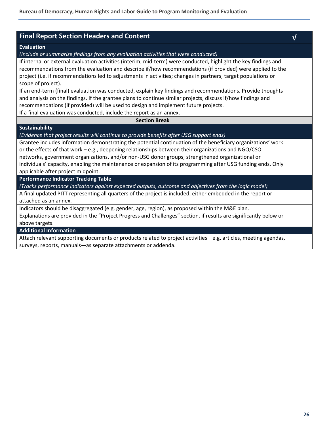| <b>Final Report Section Headers and Content</b>                                                                                                                                                                               | $\sqrt{}$ |
|-------------------------------------------------------------------------------------------------------------------------------------------------------------------------------------------------------------------------------|-----------|
| Evaluation                                                                                                                                                                                                                    |           |
| (Include or summarize findings from any evaluation activities that were conducted)                                                                                                                                            |           |
| If internal or external evaluation activities (interim, mid-term) were conducted, highlight the key findings and<br>recommendations from the evaluation and describe if/how recommendations (if provided) were applied to the |           |
| project (i.e. if recommendations led to adjustments in activities; changes in partners, target populations or                                                                                                                 |           |
| scope of project).                                                                                                                                                                                                            |           |
| If an end-term (final) evaluation was conducted, explain key findings and recommendations. Provide thoughts                                                                                                                   |           |
| and analysis on the findings. If the grantee plans to continue similar projects, discuss if/how findings and                                                                                                                  |           |
| recommendations (if provided) will be used to design and implement future projects.                                                                                                                                           |           |
| If a final evaluation was conducted, include the report as an annex.                                                                                                                                                          |           |
| <b>Section Break</b>                                                                                                                                                                                                          |           |
| <b>Sustainability</b>                                                                                                                                                                                                         |           |
| (Evidence that project results will continue to provide benefits after USG support ends)                                                                                                                                      |           |
| Grantee includes information demonstrating the potential continuation of the beneficiary organizations' work                                                                                                                  |           |
| or the effects of that work $-e.g.,$ deepening relationships between their organizations and NGO/CSO                                                                                                                          |           |
| networks, government organizations, and/or non-USG donor groups; strengthened organizational or                                                                                                                               |           |
| individuals' capacity, enabling the maintenance or expansion of its programming after USG funding ends. Only                                                                                                                  |           |
| applicable after project midpoint.                                                                                                                                                                                            |           |
| <b>Performance Indicator Tracking Table</b>                                                                                                                                                                                   |           |
| (Tracks performance indicators against expected outputs, outcome and objectives from the logic model)                                                                                                                         |           |
| A final updated PITT representing all quarters of the project is included, either embedded in the report or                                                                                                                   |           |
| attached as an annex.                                                                                                                                                                                                         |           |
| Indicators should be disaggregated (e.g. gender, age, region), as proposed within the M&E plan.                                                                                                                               |           |
| Explanations are provided in the "Project Progress and Challenges" section, if results are significantly below or                                                                                                             |           |
| above targets.                                                                                                                                                                                                                |           |
| <b>Additional Information</b>                                                                                                                                                                                                 |           |
| Attach relevant supporting documents or products related to project activities—e.g. articles, meeting agendas,                                                                                                                |           |
| surveys, reports, manuals-as separate attachments or addenda.                                                                                                                                                                 |           |
|                                                                                                                                                                                                                               |           |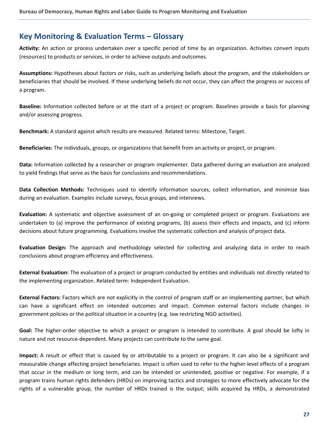### <span id="page-29-0"></span>**Key Monitoring & Evaluation Terms – Glossary**

**Activity:** An action or process undertaken over a specific period of time by an organization. Activities convert inputs (resources) to products or services, in order to achieve outputs and outcomes.

**Assumptions:** Hypotheses about factors or risks, such as underlying beliefs about the program, and the stakeholders or beneficiaries that should be involved. If these underlying beliefs do not occur, they can affect the progress or success of a program.

**Baseline:** Information collected before or at the start of a project or program. Baselines provide a basis for planning and/or assessing progress.

**Benchmark:** A standard against which results are measured. Related terms: Milestone, Target.

**Beneficiaries:** The individuals, groups, or organizations that benefit from an activity or project, or program.

**Data:** Information collected by a researcher or program implementer. Data gathered during an evaluation are analyzed to yield findings that serve as the basis for conclusions and recommendations.

**Data Collection Methods:** Techniques used to identify information sources, collect information, and minimize bias during an evaluation. Examples include surveys, focus groups, and interviews.

**Evaluation:** A systematic and objective assessment of an on-going or completed project or program. Evaluations are undertaken to (a) improve the performance of existing programs, (b) assess their effects and impacts, and (c) inform decisions about future programming. Evaluations involve the systematic collection and analysis of project data.

**Evaluation Design:** The approach and methodology selected for collecting and analyzing data in order to reach conclusions about program efficiency and effectiveness.

**External Evaluation:** The evaluation of a project or program conducted by entities and individuals not directly related to the implementing organization. Related term: Independent Evaluation.

**External Factors:** Factors which are not explicitly in the control of program staff or an implementing partner, but which can have a significant effect on intended outcomes and impact. Common external factors include changes in government policies or the political situation in a country (e.g. law restricting NGO activities).

**Goal:** The higher-order objective to which a project or program is intended to contribute. A goal should be lofty in nature and not resource-dependent. Many projects can contribute to the same goal.

**Impact:** A result or effect that is caused by or attributable to a project or program. It can also be a significant and measurable change affecting project beneficiaries. Impact is often used to refer to the higher-level effects of a program that occur in the medium or long term, and can be intended or unintended, positive or negative. For example, if a program trains human rights defenders (HRDs) on improving tactics and strategies to more effectively advocate for the rights of a vulnerable group, the number of HRDs trained is the output; skills acquired by HRDs, a demonstrated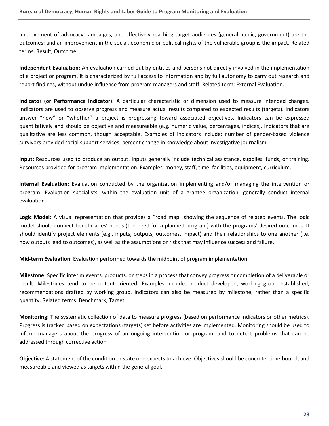improvement of advocacy campaigns, and effectively reaching target audiences (general public, government) are the outcomes; and an improvement in the social, economic or political rights of the vulnerable group is the impact. Related terms: Result, Outcome.

**Independent Evaluation:** An evaluation carried out by entities and persons not directly involved in the implementation of a project or program. It is characterized by full access to information and by full autonomy to carry out research and report findings, without undue influence from program managers and staff. Related term: External Evaluation.

**Indicator (or Performance Indicator):** A particular characteristic or dimension used to measure intended changes. Indicators are used to observe progress and measure actual results compared to expected results (targets). Indicators answer "how" or "whether" a project is progressing toward associated objectives. Indicators can be expressed quantitatively and should be objective and measureable (e.g. numeric value, percentages, indices). Indicators that are qualitative are less common, though acceptable. Examples of indicators include: number of gender-based violence survivors provided social support services; percent change in knowledge about investigative journalism.

**Input:** Resources used to produce an output. Inputs generally include technical assistance, supplies, funds, or training. Resources provided for program implementation. Examples: money, staff, time, facilities, equipment, curriculum.

**Internal Evaluation:** Evaluation conducted by the organization implementing and/or managing the intervention or program. Evaluation specialists, within the evaluation unit of a grantee organization, generally conduct internal evaluation.

**Logic Model:** A visual representation that provides a "road map" showing the sequence of related events. The logic model should connect beneficiaries' needs (the need for a planned program) with the programs' desired outcomes. It should identify project elements (e.g., inputs, outputs, outcomes, impact) and their relationships to one another (i.e. how outputs lead to outcomes), as well as the assumptions or risks that may influence success and failure.

**Mid-term Evaluation:** Evaluation performed towards the midpoint of program implementation.

**Milestone:** Specific interim events, products, or steps in a process that convey progress or completion of a deliverable or result. Milestones tend to be output-oriented. Examples include: product developed, working group established, recommendations drafted by working group. Indicators can also be measured by milestone, rather than a specific quantity. Related terms: Benchmark, Target.

**Monitoring:** The systematic collection of data to measure progress (based on performance indicators or other metrics). Progress is tracked based on expectations (targets) set before activities are implemented. Monitoring should be used to inform managers about the progress of an ongoing intervention or program, and to detect problems that can be addressed through corrective action.

**Objective:** A statement of the condition or state one expects to achieve. Objectives should be concrete, time-bound, and measureable and viewed as targets within the general goal.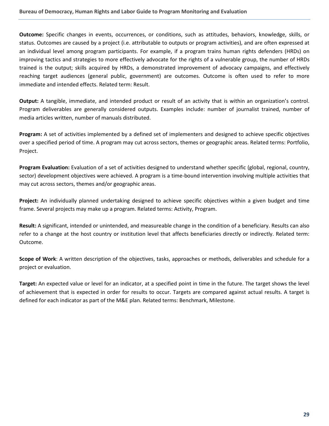**Outcome:** Specific changes in events, occurrences, or conditions, such as attitudes, behaviors, knowledge, skills, or status. Outcomes are caused by a project (i.e. attributable to outputs or program activities), and are often expressed at an individual level among program participants. For example, if a program trains human rights defenders (HRDs) on improving tactics and strategies to more effectively advocate for the rights of a vulnerable group, the number of HRDs trained is the output; skills acquired by HRDs, a demonstrated improvement of advocacy campaigns, and effectively reaching target audiences (general public, government) are outcomes. Outcome is often used to refer to more immediate and intended effects. Related term: Result.

**Output:** A tangible, immediate, and intended product or result of an activity that is within an organization's control. Program deliverables are generally considered outputs. Examples include: number of journalist trained, number of media articles written, number of manuals distributed.

**Program:** A set of activities implemented by a defined set of implementers and designed to achieve specific objectives over a specified period of time. A program may cut across sectors, themes or geographic areas. Related terms: Portfolio, Project.

**Program Evaluation:** Evaluation of a set of activities designed to understand whether specific (global, regional, country, sector) development objectives were achieved. A program is a time-bound intervention involving multiple activities that may cut across sectors, themes and/or geographic areas.

**Project:** An individually planned undertaking designed to achieve specific objectives within a given budget and time frame. Several projects may make up a program. Related terms: Activity, Program.

**Result:** A significant, intended or unintended, and measureable change in the condition of a beneficiary. Results can also refer to a change at the host country or institution level that affects beneficiaries directly or indirectly. Related term: Outcome.

**Scope of Work**: A written description of the objectives, tasks, approaches or methods, deliverables and schedule for a project or evaluation.

**Target:** An expected value or level for an indicator, at a specified point in time in the future. The target shows the level of achievement that is expected in order for results to occur. Targets are compared against actual results. A target is defined for each indicator as part of the M&E plan. Related terms: Benchmark, Milestone.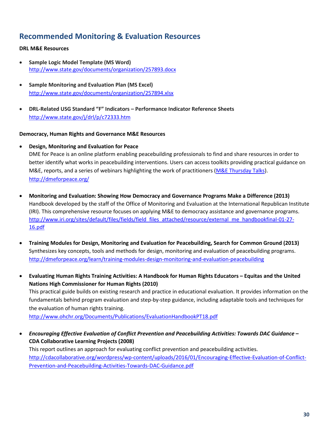## <span id="page-32-0"></span>**Recommended Monitoring & Evaluation Resources**

#### **DRL M&E Resources**

- **Sample Logic Model Template (MS Word)** <http://www.state.gov/documents/organization/257893.docx>
- **Sample Monitoring and Evaluation Plan (MS Excel)** <http://www.state.gov/documents/organization/257894.xlsx>
- **DRL-Related USG Standard "F" Indicators – Performance Indicator Reference Sheets** <http://www.state.gov/j/drl/p/c72333.htm>

#### **Democracy, Human Rights and Governance M&E Resources**

- **Design, Monitoring and Evaluation for Peace** DME for Peace is an online platform enabling peacebuilding professionals to find and share resources in order to better identify what works in peacebuilding interventions. Users can access toolkits providing practical guidance on M&E, reports, and a series of webinars highlighting the work of practitioners [\(M&E Thursday Talks\)](http://dmeforpeace.org/discuss/forums/thursday-talks). <http://dmeforpeace.org/>
- **Monitoring and Evaluation: Showing How Democracy and Governance Programs Make a Difference (2013)** Handbook developed by the staff of the Office of Monitoring and Evaluation at the International Republican Institute (IRI). This comprehensive resource focuses on applying M&E to democracy assistance and governance programs. http://www.iri.org/sites/default/files/fields/field files\_attached/resource/external\_me\_handbookfinal-01-27-[16.pdf](http://www.iri.org/sites/default/files/fields/field_files_attached/resource/external_me_handbookfinal-01-27-16.pdf)
- **Training Modules for Design, Monitoring and Evaluation for Peacebuilding, Search for Common Ground (2013)** Synthesizes key concepts, tools and methods for design, monitoring and evaluation of peacebuilding programs. <http://dmeforpeace.org/learn/training-modules-design-monitoring-and-evaluation-peacebuilding>
- **Evaluating Human Rights Training Activities: A Handbook for Human Rights Educators – Equitas and the United Nations High Commissioner for Human Rights (2010)**

This practical guide builds on existing research and practice in educational evaluation. It provides information on the fundamentals behind program evaluation and step-by-step guidance, including adaptable tools and techniques for the evaluation of human rights training.

<http://www.ohchr.org/Documents/Publications/EvaluationHandbookPT18.pdf>

• *Encouraging Effective Evaluation of Conflict Prevention and Peacebuilding Activities: Towards DAC Guidance* **– CDA Collaborative Learning Projects (2008)**

This report outlines an approach for evaluating conflict prevention and peacebuilding activities. [http://cdacollaborative.org/wordpress/wp-content/uploads/2016/01/Encouraging-Effective-Evaluation-of-Conflict-](http://cdacollaborative.org/wordpress/wp-content/uploads/2016/01/Encouraging-Effective-Evaluation-of-Conflict-Prevention-and-Peacebuilding-Activities-Towards-DAC-Guidance.pdf)[Prevention-and-Peacebuilding-Activities-Towards-DAC-Guidance.pdf](http://cdacollaborative.org/wordpress/wp-content/uploads/2016/01/Encouraging-Effective-Evaluation-of-Conflict-Prevention-and-Peacebuilding-Activities-Towards-DAC-Guidance.pdf)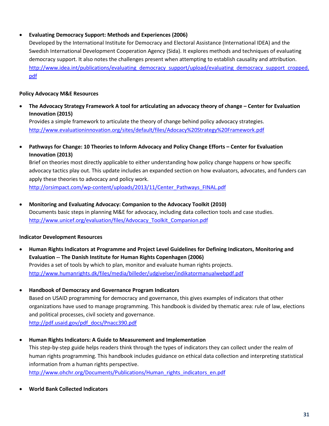#### • **Evaluating Democracy Support: Methods and Experiences (2006)**

Developed by the International Institute for Democracy and Electoral Assistance (International IDEA) and the Swedish International Development Cooperation Agency (Sida). It explores methods and techniques of evaluating democracy support. It also notes the challenges present when attempting to establish causality and attribution. [http://www.idea.int/publications/evaluating\\_democracy\\_support/upload/evaluating\\_democracy\\_support\\_cropped.](http://www.idea.int/publications/evaluating_democracy_support/upload/evaluating_democracy_support_cropped.pdf) [pdf](http://www.idea.int/publications/evaluating_democracy_support/upload/evaluating_democracy_support_cropped.pdf)

#### **Policy Advocacy M&E Resources**

• **The Advocacy Strategy Framework A tool for articulating an advocacy theory of change – Center for Evaluation Innovation (2015)**

Provides a simple framework to articulate the theory of change behind policy advocacy strategies. <http://www.evaluationinnovation.org/sites/default/files/Adocacy%20Strategy%20Framework.pdf>

• **Pathways for Change: 10 Theories to Inform Advocacy and Policy Change Efforts – Center for Evaluation Innovation (2013)**

Brief on theories most directly applicable to either understanding how policy change happens or how specific advocacy tactics play out. This update includes an expanded section on how evaluators, advocates, and funders can apply these theories to advocacy and policy work. [http://orsimpact.com/wp-content/uploads/2013/11/Center\\_Pathways\\_FINAL.pdf](http://orsimpact.com/wp-content/uploads/2013/11/Center_Pathways_FINAL.pdf)

• **Monitoring and Evaluating Advocacy: Companion to the Advocacy Toolkit (2010)**

Documents basic steps in planning M&E for advocacy, including data collection tools and case studies. [http://www.unicef.org/evaluation/files/Advocacy\\_Toolkit\\_Companion.pdf](http://www.unicef.org/evaluation/files/Advocacy_Toolkit_Companion.pdf)

#### **Indicator Development Resources**

- **Human Rights Indicators at Programme and Project Level Guidelines for Defining Indicators, Monitoring and Evaluation -- The Danish Institute for Human Rights Copenhagen (2006)** Provides a set of tools by which to plan, monitor and evaluate human rights projects. <http://www.humanrights.dk/files/media/billeder/udgivelser/indikatormanualwebpdf.pdf>
- **Handbook of Democracy and Governance Program Indicators** Based on USAID programming for democracy and governance, this gives examples of indicators that other organizations have used to manage programming. This handbook is divided by thematic area: rule of law, elections and political processes, civil society and governance. [http://pdf.usaid.gov/pdf\\_docs/Pnacc390.pdf](http://pdf.usaid.gov/pdf_docs/Pnacc390.pdf)
- **Human Rights Indicators: A Guide to Measurement and Implementation** This step-by-step guide helps readers think through the types of indicators they can collect under the realm of human rights programming. This handbook includes guidance on ethical data collection and interpreting statistical information from a human rights perspective. [http://www.ohchr.org/Documents/Publications/Human\\_rights\\_indicators\\_en.pdf](http://www.ohchr.org/Documents/Publications/Human_rights_indicators_en.pdf)
- **World Bank Collected Indicators**